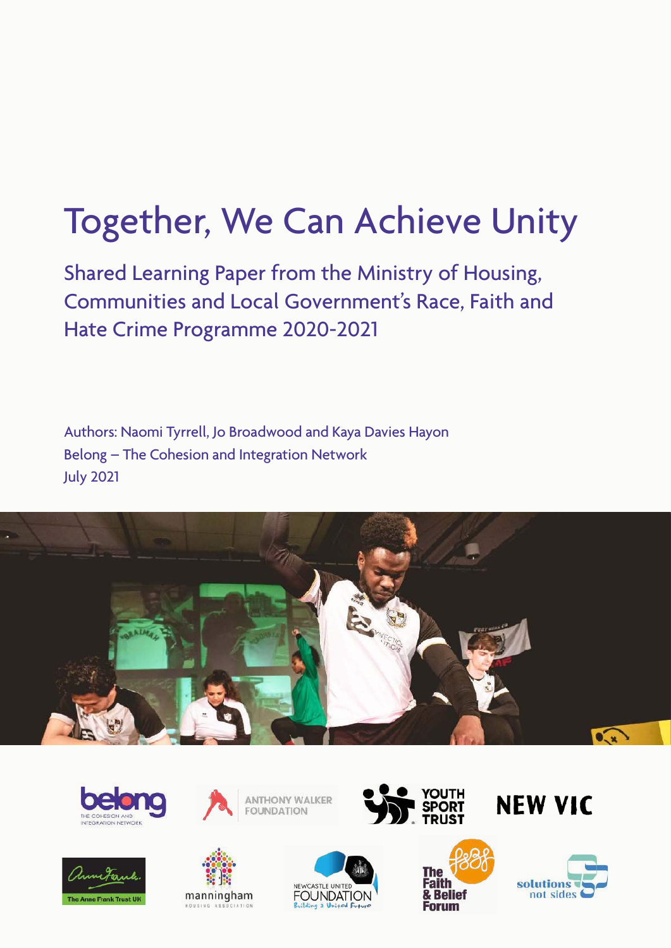# Together, We Can Achieve Unity

Shared Learning Paper from the Ministry of Housing, Communities and Local Government's Race, Faith and Hate Crime Programme 2020-2021

Authors: Naomi Tyrrell, Jo Broadwood and Kaya Davies Hayon Belong – The Cohesion and Integration Network July 2021













**NEW VIC** 



NEWCASTLE UNITED **FOUNDATION**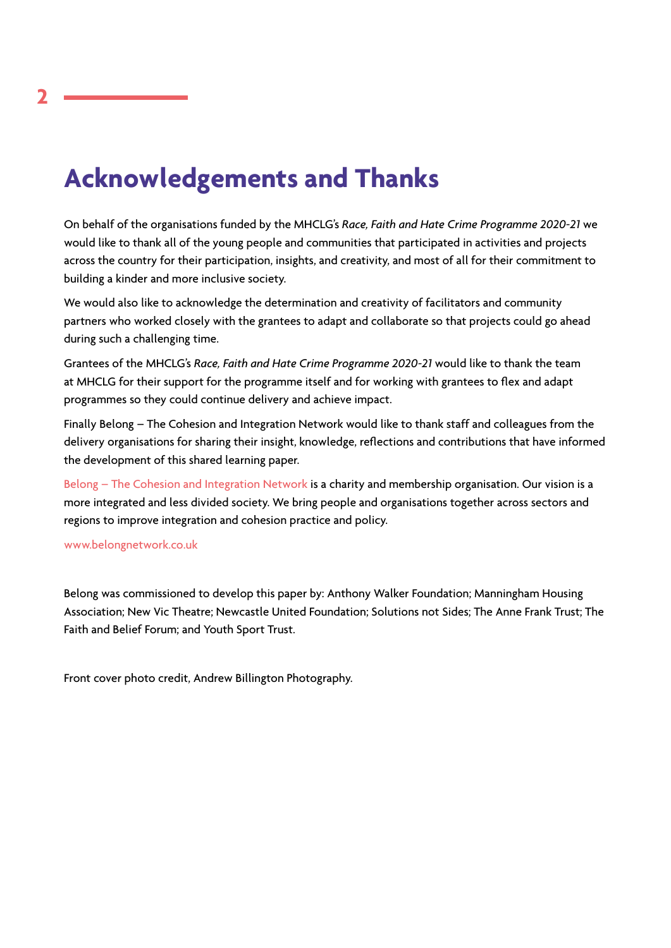# **Acknowledgements and Thanks**

On behalf of the organisations funded by the MHCLG's *Race, Faith and Hate Crime Programme 2020-21* we would like to thank all of the young people and communities that participated in activities and projects across the country for their participation, insights, and creativity, and most of all for their commitment to building a kinder and more inclusive society.

We would also like to acknowledge the determination and creativity of facilitators and community partners who worked closely with the grantees to adapt and collaborate so that projects could go ahead during such a challenging time.

Grantees of the MHCLG's *Race, Faith and Hate Crime Programme 2020-21* would like to thank the team at MHCLG for their support for the programme itself and for working with grantees to flex and adapt programmes so they could continue delivery and achieve impact.

Finally Belong – The Cohesion and Integration Network would like to thank staff and colleagues from the delivery organisations for sharing their insight, knowledge, reflections and contributions that have informed the development of this shared learning paper.

[Belong – The Cohesion and Integration Network](http://www.belongnetwork.co.uk) is a charity and membership organisation. Our vision is a more integrated and less divided society. We bring people and organisations together across sectors and regions to improve integration and cohesion practice and policy.

[www.belongnetwork.co.uk](http://www.belongnetwork.co.uk/)

Belong was commissioned to develop this paper by: Anthony Walker Foundation; Manningham Housing Association; New Vic Theatre; Newcastle United Foundation; Solutions not Sides; The Anne Frank Trust; The Faith and Belief Forum; and Youth Sport Trust.

Front cover photo credit, Andrew Billington Photography.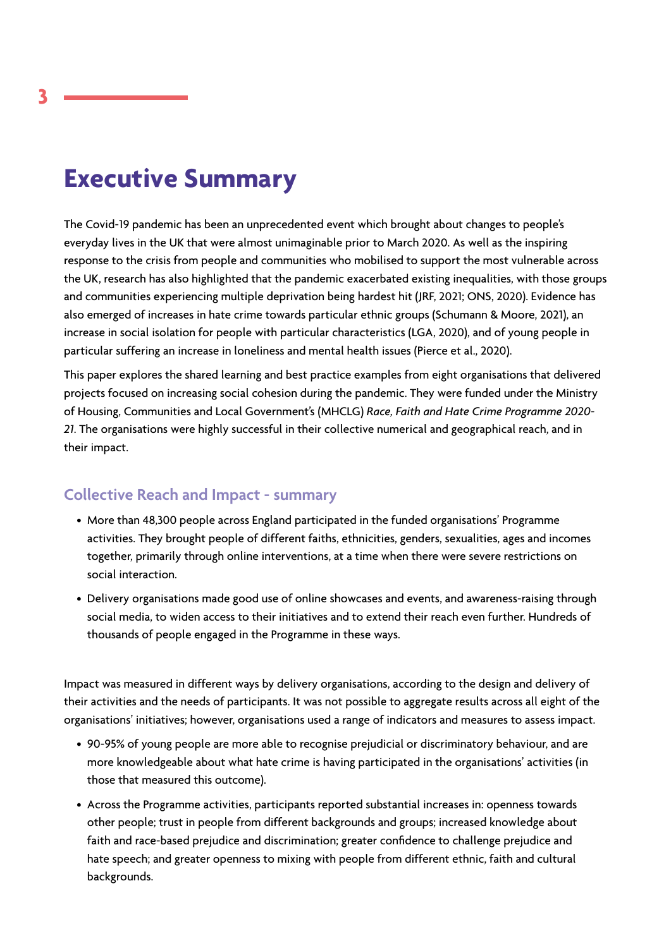# **Executive Summary**

The Covid-19 pandemic has been an unprecedented event which brought about changes to people's everyday lives in the UK that were almost unimaginable prior to March 2020. As well as the inspiring response to the crisis from people and communities who mobilised to support the most vulnerable across the UK, research has also highlighted that the pandemic exacerbated existing inequalities, with those groups and communities experiencing multiple deprivation being hardest hit (JRF, 2021; ONS, 2020). Evidence has also emerged of increases in hate crime towards particular ethnic groups (Schumann & Moore, 2021), an increase in social isolation for people with particular characteristics (LGA, 2020), and of young people in particular suffering an increase in loneliness and mental health issues (Pierce et al., 2020).

This paper explores the shared learning and best practice examples from eight organisations that delivered projects focused on increasing social cohesion during the pandemic. They were funded under the Ministry of Housing, Communities and Local Government's (MHCLG) *Race, Faith and Hate Crime Programme 2020- 21*. The organisations were highly successful in their collective numerical and geographical reach, and in their impact.

# **Collective Reach and Impact - summary**

- More than 48,300 people across England participated in the funded organisations' Programme activities. They brought people of different faiths, ethnicities, genders, sexualities, ages and incomes together, primarily through online interventions, at a time when there were severe restrictions on social interaction.
- Delivery organisations made good use of online showcases and events, and awareness-raising through social media, to widen access to their initiatives and to extend their reach even further. Hundreds of thousands of people engaged in the Programme in these ways.

Impact was measured in different ways by delivery organisations, according to the design and delivery of their activities and the needs of participants. It was not possible to aggregate results across all eight of the organisations' initiatives; however, organisations used a range of indicators and measures to assess impact.

- 90-95% of young people are more able to recognise prejudicial or discriminatory behaviour, and are more knowledgeable about what hate crime is having participated in the organisations' activities (in those that measured this outcome).
- Across the Programme activities, participants reported substantial increases in: openness towards other people; trust in people from different backgrounds and groups; increased knowledge about faith and race-based prejudice and discrimination; greater confidence to challenge prejudice and hate speech; and greater openness to mixing with people from different ethnic, faith and cultural backgrounds.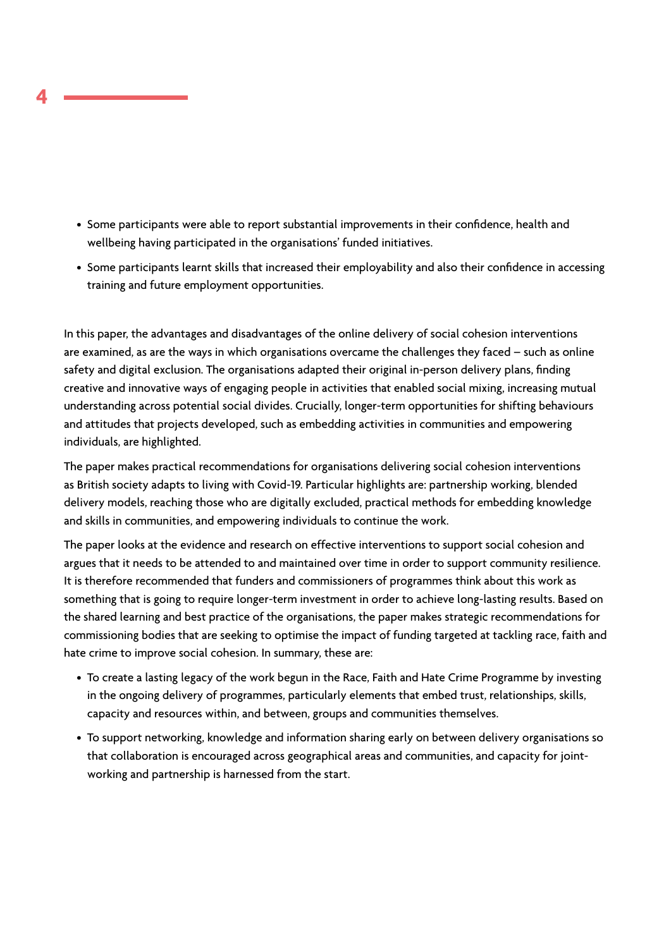- Some participants were able to report substantial improvements in their confidence, health and wellbeing having participated in the organisations' funded initiatives.
- Some participants learnt skills that increased their employability and also their confidence in accessing training and future employment opportunities.

In this paper, the advantages and disadvantages of the online delivery of social cohesion interventions are examined, as are the ways in which organisations overcame the challenges they faced – such as online safety and digital exclusion. The organisations adapted their original in-person delivery plans, finding creative and innovative ways of engaging people in activities that enabled social mixing, increasing mutual understanding across potential social divides. Crucially, longer-term opportunities for shifting behaviours and attitudes that projects developed, such as embedding activities in communities and empowering individuals, are highlighted.

The paper makes practical recommendations for organisations delivering social cohesion interventions as British society adapts to living with Covid-19. Particular highlights are: partnership working, blended delivery models, reaching those who are digitally excluded, practical methods for embedding knowledge and skills in communities, and empowering individuals to continue the work.

The paper looks at the evidence and research on effective interventions to support social cohesion and argues that it needs to be attended to and maintained over time in order to support community resilience. It is therefore recommended that funders and commissioners of programmes think about this work as something that is going to require longer-term investment in order to achieve long-lasting results. Based on the shared learning and best practice of the organisations, the paper makes strategic recommendations for commissioning bodies that are seeking to optimise the impact of funding targeted at tackling race, faith and hate crime to improve social cohesion. In summary, these are:

- To create a lasting legacy of the work begun in the Race, Faith and Hate Crime Programme by investing in the ongoing delivery of programmes, particularly elements that embed trust, relationships, skills, capacity and resources within, and between, groups and communities themselves.
- To support networking, knowledge and information sharing early on between delivery organisations so that collaboration is encouraged across geographical areas and communities, and capacity for jointworking and partnership is harnessed from the start.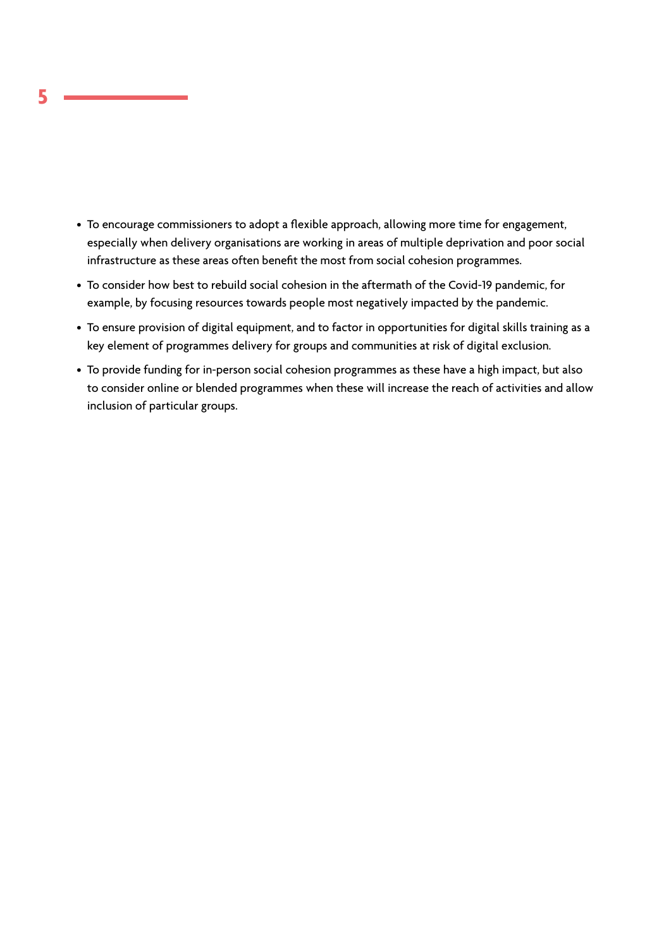- To encourage commissioners to adopt a flexible approach, allowing more time for engagement, especially when delivery organisations are working in areas of multiple deprivation and poor social infrastructure as these areas often benefit the most from social cohesion programmes.
- To consider how best to rebuild social cohesion in the aftermath of the Covid-19 pandemic, for example, by focusing resources towards people most negatively impacted by the pandemic.
- To ensure provision of digital equipment, and to factor in opportunities for digital skills training as a key element of programmes delivery for groups and communities at risk of digital exclusion.
- To provide funding for in-person social cohesion programmes as these have a high impact, but also to consider online or blended programmes when these will increase the reach of activities and allow inclusion of particular groups.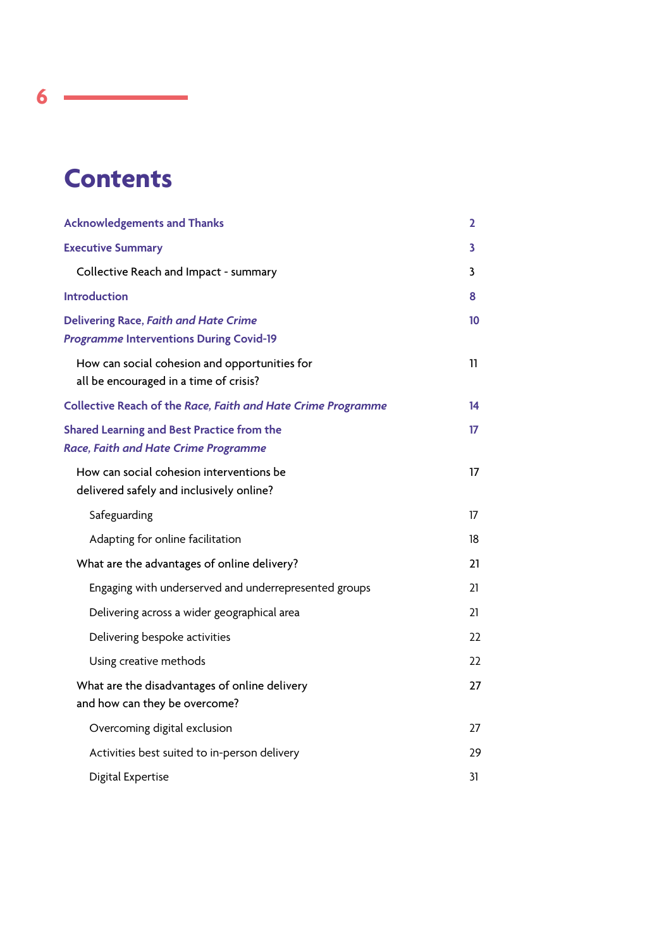# **Contents**

L,

| <b>Acknowledgements and Thanks</b>                                                               | $\mathbf{2}$ |
|--------------------------------------------------------------------------------------------------|--------------|
| <b>Executive Summary</b>                                                                         | 3            |
| Collective Reach and Impact - summary                                                            | 3            |
| <b>Introduction</b>                                                                              | 8            |
| <b>Delivering Race, Faith and Hate Crime</b><br><b>Programme Interventions During Covid-19</b>   | 10           |
| How can social cohesion and opportunities for<br>all be encouraged in a time of crisis?          | 11           |
| Collective Reach of the Race, Faith and Hate Crime Programme                                     | 14           |
| <b>Shared Learning and Best Practice from the</b><br><b>Race, Faith and Hate Crime Programme</b> | 17           |
| How can social cohesion interventions be<br>delivered safely and inclusively online?             | 17           |
| Safeguarding                                                                                     | 17           |
| Adapting for online facilitation                                                                 | 18           |
| What are the advantages of online delivery?                                                      | 21           |
| Engaging with underserved and underrepresented groups                                            | 21           |
| Delivering across a wider geographical area                                                      | 21           |
| Delivering bespoke activities                                                                    | 22           |
| Using creative methods                                                                           | 22           |
| What are the disadvantages of online delivery<br>and how can they be overcome?                   | 27           |
| Overcoming digital exclusion                                                                     | 27           |
| Activities best suited to in-person delivery                                                     | 29           |
| Digital Expertise                                                                                | 31           |

**6**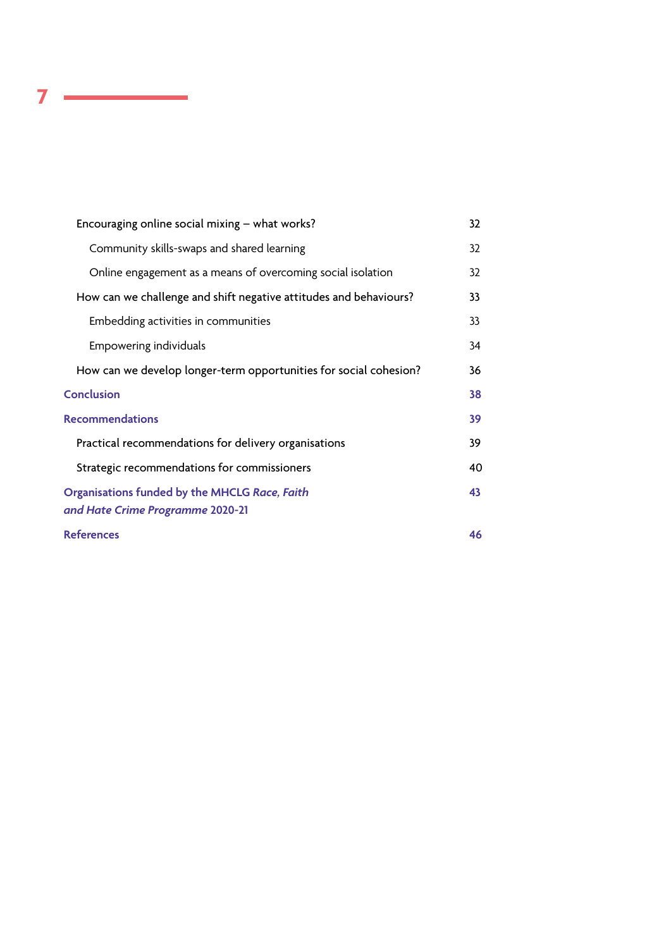| Encouraging online social mixing $-$ what works?                                  | 32 |
|-----------------------------------------------------------------------------------|----|
| Community skills-swaps and shared learning                                        | 32 |
| Online engagement as a means of overcoming social isolation                       | 32 |
| How can we challenge and shift negative attitudes and behaviours?                 | 33 |
| Embedding activities in communities                                               | 33 |
| Empowering individuals                                                            | 34 |
| How can we develop longer-term opportunities for social cohesion?                 | 36 |
| <b>Conclusion</b>                                                                 | 38 |
| <b>Recommendations</b>                                                            | 39 |
| Practical recommendations for delivery organisations                              | 39 |
| Strategic recommendations for commissioners                                       | 40 |
| Organisations funded by the MHCLG Race, Faith<br>and Hate Crime Programme 2020-21 | 43 |
| <b>References</b>                                                                 | 46 |

**7**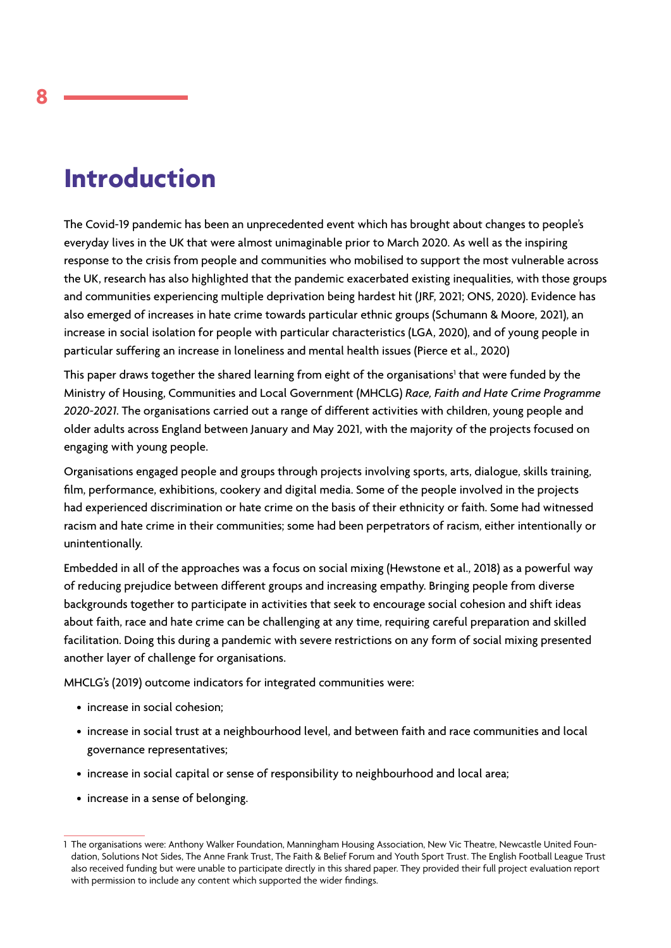# **Introduction**

The Covid-19 pandemic has been an unprecedented event which has brought about changes to people's everyday lives in the UK that were almost unimaginable prior to March 2020. As well as the inspiring response to the crisis from people and communities who mobilised to support the most vulnerable across the UK, research has also highlighted that the pandemic exacerbated existing inequalities, with those groups and communities experiencing multiple deprivation being hardest hit (JRF, 2021; ONS, 2020). Evidence has also emerged of increases in hate crime towards particular ethnic groups (Schumann & Moore, 2021), an increase in social isolation for people with particular characteristics (LGA, 2020), and of young people in particular suffering an increase in loneliness and mental health issues (Pierce et al., 2020)

This paper draws together the shared learning from eight of the organisations<sup>1</sup> that were funded by the Ministry of Housing, Communities and Local Government (MHCLG) *Race, Faith and Hate Crime Programme 2020-2021*. The organisations carried out a range of different activities with children, young people and older adults across England between January and May 2021, with the majority of the projects focused on engaging with young people.

Organisations engaged people and groups through projects involving sports, arts, dialogue, skills training, film, performance, exhibitions, cookery and digital media. Some of the people involved in the projects had experienced discrimination or hate crime on the basis of their ethnicity or faith. Some had witnessed racism and hate crime in their communities; some had been perpetrators of racism, either intentionally or unintentionally.

Embedded in all of the approaches was a focus on social mixing (Hewstone et al., 2018) as a powerful way of reducing prejudice between different groups and increasing empathy. Bringing people from diverse backgrounds together to participate in activities that seek to encourage social cohesion and shift ideas about faith, race and hate crime can be challenging at any time, requiring careful preparation and skilled facilitation. Doing this during a pandemic with severe restrictions on any form of social mixing presented another layer of challenge for organisations.

MHCLG's (2019) outcome indicators for integrated communities were:

- increase in social cohesion;
- increase in social trust at a neighbourhood level, and between faith and race communities and local governance representatives;
- increase in social capital or sense of responsibility to neighbourhood and local area;
- increase in a sense of belonging.

<sup>1</sup> The organisations were: Anthony Walker Foundation, Manningham Housing Association, New Vic Theatre, Newcastle United Foundation, Solutions Not Sides, The Anne Frank Trust, The Faith & Belief Forum and Youth Sport Trust. The English Football League Trust also received funding but were unable to participate directly in this shared paper. They provided their full project evaluation report with permission to include any content which supported the wider findings.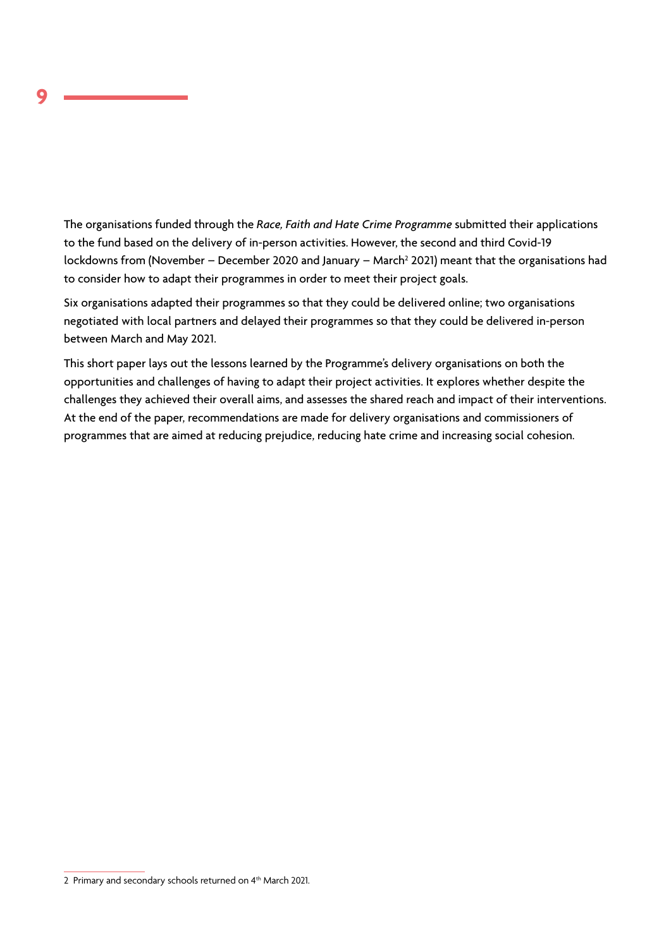The organisations funded through the *Race, Faith and Hate Crime Programme* submitted their applications to the fund based on the delivery of in-person activities. However, the second and third Covid-19 lockdowns from (November – December 2020 and January – March<sup>2</sup> 2021) meant that the organisations had to consider how to adapt their programmes in order to meet their project goals.

Six organisations adapted their programmes so that they could be delivered online; two organisations negotiated with local partners and delayed their programmes so that they could be delivered in-person between March and May 2021.

This short paper lays out the lessons learned by the Programme's delivery organisations on both the opportunities and challenges of having to adapt their project activities. It explores whether despite the challenges they achieved their overall aims, and assesses the shared reach and impact of their interventions. At the end of the paper, recommendations are made for delivery organisations and commissioners of programmes that are aimed at reducing prejudice, reducing hate crime and increasing social cohesion.

<sup>2</sup> Primary and secondary schools returned on 4<sup>th</sup> March 2021.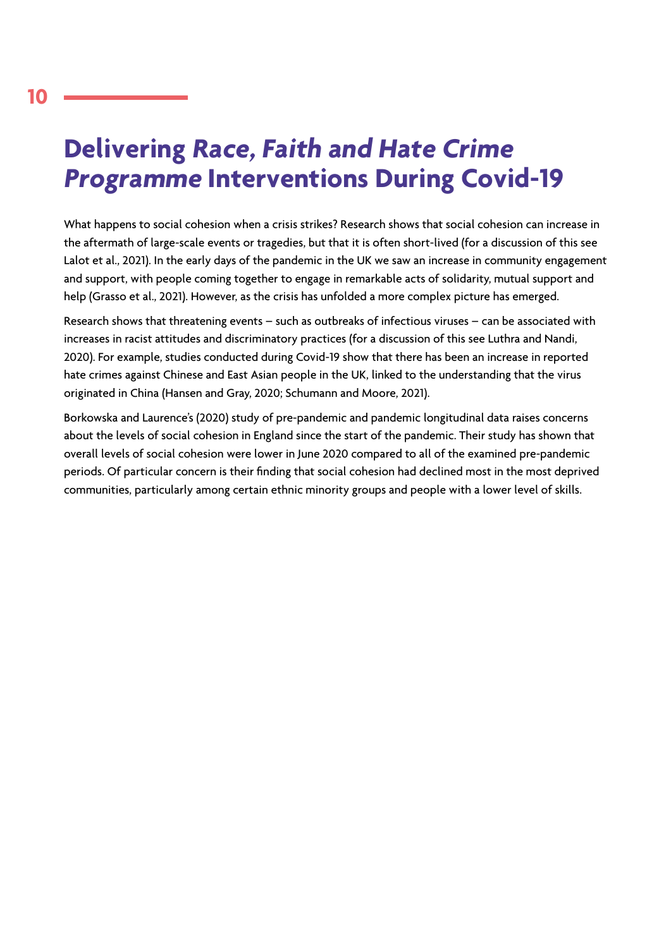# **Delivering Race, Faith and Hate Crime Programme Interventions During Covid-19**

What happens to social cohesion when a crisis strikes? Research shows that social cohesion can increase in the aftermath of large-scale events or tragedies, but that it is often short-lived (for a discussion of this see Lalot et al., 2021). In the early days of the pandemic in the UK we saw an increase in community engagement and support, with people coming together to engage in remarkable acts of solidarity, mutual support and help (Grasso et al., 2021). However, as the crisis has unfolded a more complex picture has emerged.

Research shows that threatening events – such as outbreaks of infectious viruses – can be associated with increases in racist attitudes and discriminatory practices (for a discussion of this see Luthra and Nandi, 2020). For example, studies conducted during Covid-19 show that there has been an increase in reported hate crimes against Chinese and East Asian people in the UK, linked to the understanding that the virus originated in China (Hansen and Gray, 2020; Schumann and Moore, 2021).

Borkowska and Laurence's (2020) study of pre-pandemic and pandemic longitudinal data raises concerns about the levels of social cohesion in England since the start of the pandemic. Their study has shown that overall levels of social cohesion were lower in June 2020 compared to all of the examined pre-pandemic periods. Of particular concern is their finding that social cohesion had declined most in the most deprived communities, particularly among certain ethnic minority groups and people with a lower level of skills.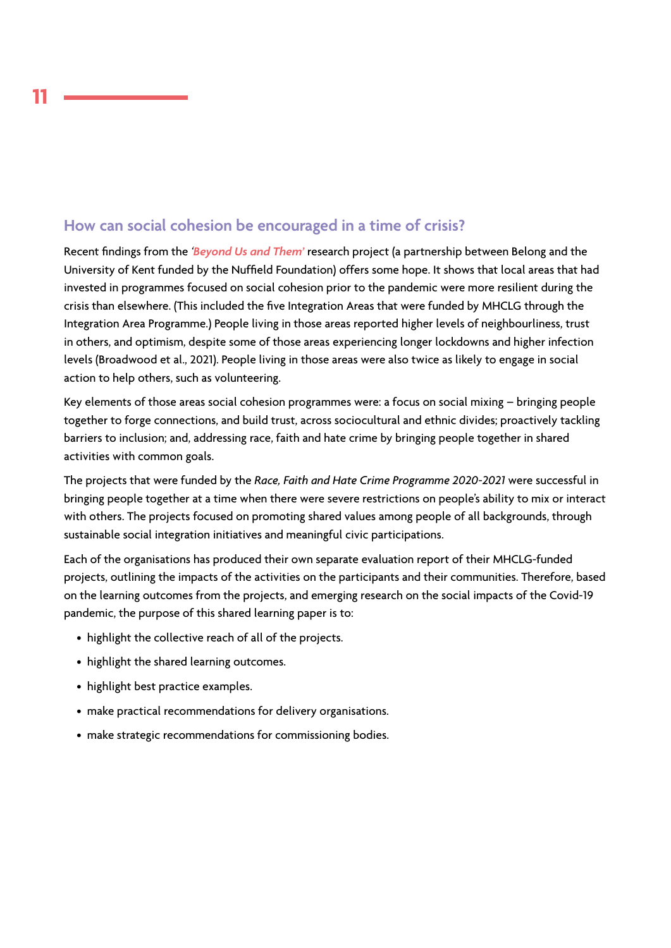# **How can social cohesion be encouraged in a time of crisis?**

Recent findings from the *'[Beyond Us and Them'](https://www.belongnetwork.co.uk/research-projects/beyond-us-and-them-research-project/)* research project (a partnership between Belong and the University of Kent funded by the Nuffield Foundation) offers some hope. It shows that local areas that had invested in programmes focused on social cohesion prior to the pandemic were more resilient during the crisis than elsewhere. (This included the five Integration Areas that were funded by MHCLG through the Integration Area Programme.) People living in those areas reported higher levels of neighbourliness, trust in others, and optimism, despite some of those areas experiencing longer lockdowns and higher infection levels (Broadwood et al., 2021). People living in those areas were also twice as likely to engage in social action to help others, such as volunteering.

Key elements of those areas social cohesion programmes were: a focus on social mixing – bringing people together to forge connections, and build trust, across sociocultural and ethnic divides; proactively tackling barriers to inclusion; and, addressing race, faith and hate crime by bringing people together in shared activities with common goals.

The projects that were funded by the *Race, Faith and Hate Crime Programme 2020-2021* were successful in bringing people together at a time when there were severe restrictions on people's ability to mix or interact with others. The projects focused on promoting shared values among people of all backgrounds, through sustainable social integration initiatives and meaningful civic participations.

Each of the organisations has produced their own separate evaluation report of their MHCLG-funded projects, outlining the impacts of the activities on the participants and their communities. Therefore, based on the learning outcomes from the projects, and emerging research on the social impacts of the Covid-19 pandemic, the purpose of this shared learning paper is to:

- highlight the collective reach of all of the projects.
- highlight the shared learning outcomes.
- highlight best practice examples.
- make practical recommendations for delivery organisations.
- make strategic recommendations for commissioning bodies.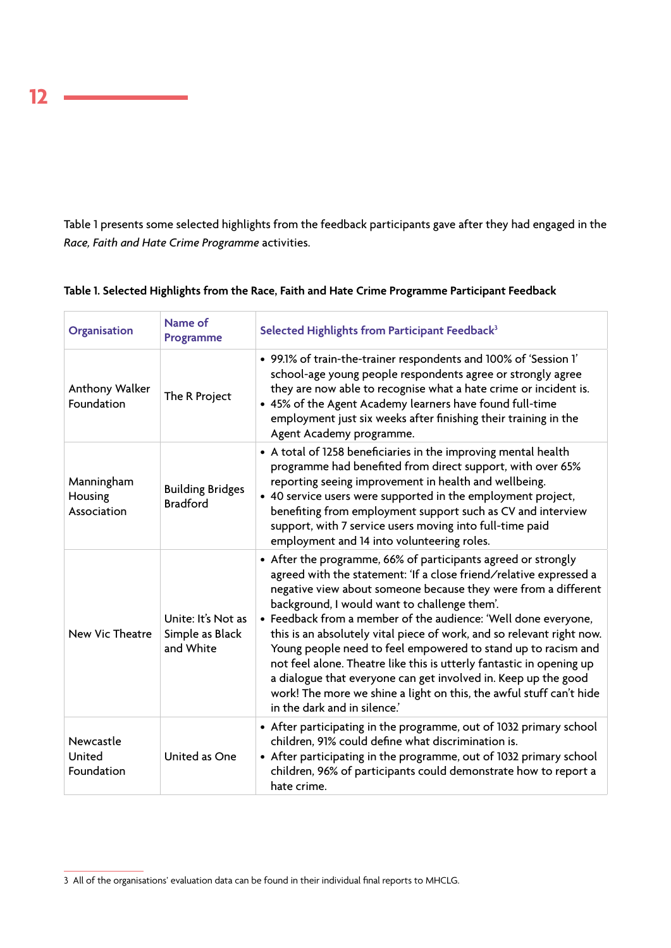Table 1 presents some selected highlights from the feedback participants gave after they had engaged in the *Race, Faith and Hate Crime Programme* activities.

| Organisation                         | Name of<br>Programme                               | Selected Highlights from Participant Feedback <sup>3</sup>                                                                                                                                                                                                                                                                                                                                                                                                                                                                                                                                                                                                                                                         |  |
|--------------------------------------|----------------------------------------------------|--------------------------------------------------------------------------------------------------------------------------------------------------------------------------------------------------------------------------------------------------------------------------------------------------------------------------------------------------------------------------------------------------------------------------------------------------------------------------------------------------------------------------------------------------------------------------------------------------------------------------------------------------------------------------------------------------------------------|--|
| Anthony Walker<br>Foundation         | The R Project                                      | • 99.1% of train-the-trainer respondents and 100% of 'Session 1'<br>school-age young people respondents agree or strongly agree<br>they are now able to recognise what a hate crime or incident is.<br>• 45% of the Agent Academy learners have found full-time<br>employment just six weeks after finishing their training in the<br>Agent Academy programme.                                                                                                                                                                                                                                                                                                                                                     |  |
| Manningham<br>Housing<br>Association | <b>Building Bridges</b><br><b>Bradford</b>         | • A total of 1258 beneficiaries in the improving mental health<br>programme had benefited from direct support, with over 65%<br>reporting seeing improvement in health and wellbeing.<br>• 40 service users were supported in the employment project,<br>benefiting from employment support such as CV and interview<br>support, with 7 service users moving into full-time paid<br>employment and 14 into volunteering roles.                                                                                                                                                                                                                                                                                     |  |
| New Vic Theatre                      | Unite: It's Not as<br>Simple as Black<br>and White | • After the programme, 66% of participants agreed or strongly<br>agreed with the statement: 'If a close friend/relative expressed a<br>negative view about someone because they were from a different<br>background, I would want to challenge them'.<br>• Feedback from a member of the audience: 'Well done everyone,<br>this is an absolutely vital piece of work, and so relevant right now.<br>Young people need to feel empowered to stand up to racism and<br>not feel alone. Theatre like this is utterly fantastic in opening up<br>a dialogue that everyone can get involved in. Keep up the good<br>work! The more we shine a light on this, the awful stuff can't hide<br>in the dark and in silence.' |  |
| Newcastle<br>United<br>Foundation    | United as One                                      | • After participating in the programme, out of 1032 primary school<br>children, 91% could define what discrimination is.<br>• After participating in the programme, out of 1032 primary school<br>children, 96% of participants could demonstrate how to report a<br>hate crime.                                                                                                                                                                                                                                                                                                                                                                                                                                   |  |

### **Table 1. Selected Highlights from the Race, Faith and Hate Crime Programme Participant Feedback**

**12**

<sup>3</sup> All of the organisations' evaluation data can be found in their individual final reports to MHCLG.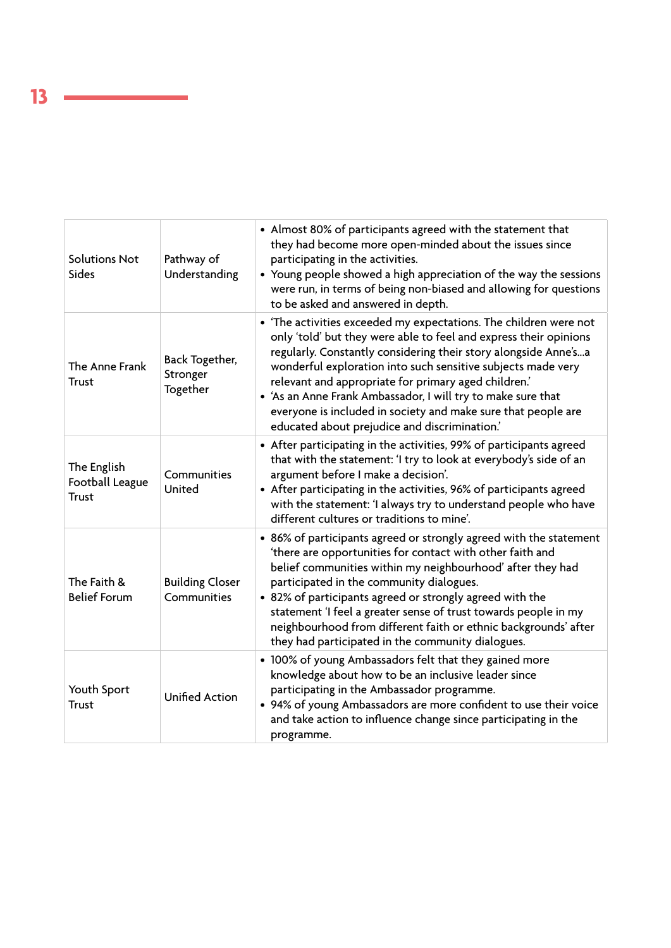| <b>Solutions Not</b><br>Sides                  | Pathway of<br>Understanding            | • Almost 80% of participants agreed with the statement that<br>they had become more open-minded about the issues since<br>participating in the activities.<br>• Young people showed a high appreciation of the way the sessions<br>were run, in terms of being non-biased and allowing for questions<br>to be asked and answered in depth.                                                                                                                                                                          |
|------------------------------------------------|----------------------------------------|---------------------------------------------------------------------------------------------------------------------------------------------------------------------------------------------------------------------------------------------------------------------------------------------------------------------------------------------------------------------------------------------------------------------------------------------------------------------------------------------------------------------|
| The Anne Frank<br><b>Trust</b>                 | Back Together,<br>Stronger<br>Together | • 'The activities exceeded my expectations. The children were not<br>only 'told' but they were able to feel and express their opinions<br>regularly. Constantly considering their story alongside Anne'sa<br>wonderful exploration into such sensitive subjects made very<br>relevant and appropriate for primary aged children.'<br>• 'As an Anne Frank Ambassador, I will try to make sure that<br>everyone is included in society and make sure that people are<br>educated about prejudice and discrimination.' |
| The English<br>Football League<br><b>Trust</b> | Communities<br>United                  | • After participating in the activities, 99% of participants agreed<br>that with the statement: 'I try to look at everybody's side of an<br>argument before I make a decision'.<br>• After participating in the activities, 96% of participants agreed<br>with the statement: 'I always try to understand people who have<br>different cultures or traditions to mine'.                                                                                                                                             |
| The Faith &<br><b>Belief Forum</b>             | <b>Building Closer</b><br>Communities  | • 86% of participants agreed or strongly agreed with the statement<br>'there are opportunities for contact with other faith and<br>belief communities within my neighbourhood' after they had<br>participated in the community dialogues.<br>• 82% of participants agreed or strongly agreed with the<br>statement 'I feel a greater sense of trust towards people in my<br>neighbourhood from different faith or ethnic backgrounds' after<br>they had participated in the community dialogues.                    |
| Youth Sport<br><b>Trust</b>                    | <b>Unified Action</b>                  | • 100% of young Ambassadors felt that they gained more<br>knowledge about how to be an inclusive leader since<br>participating in the Ambassador programme.<br>• 94% of young Ambassadors are more confident to use their voice<br>and take action to influence change since participating in the<br>programme.                                                                                                                                                                                                     |

ı.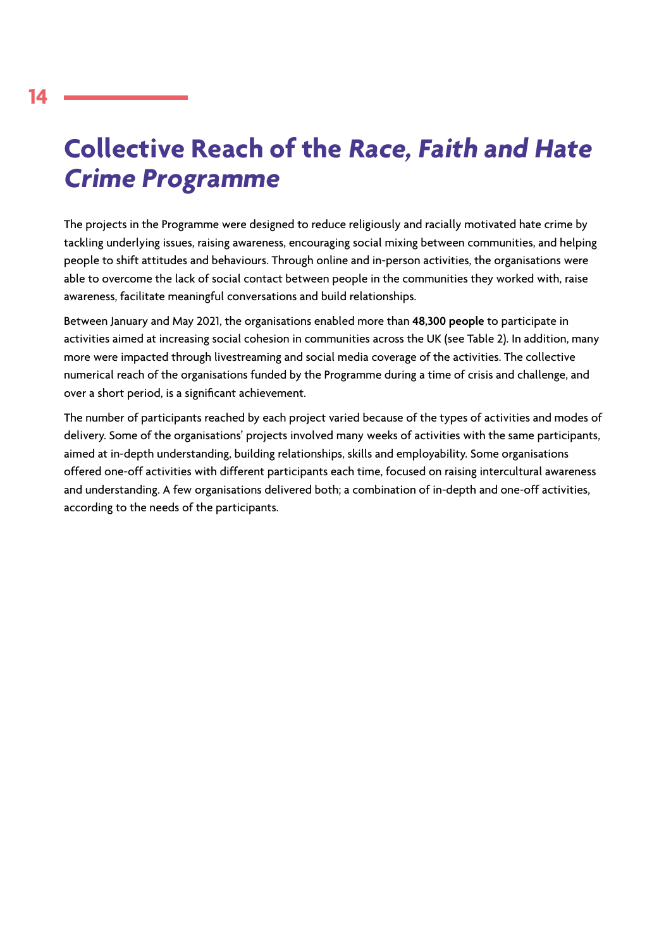# **Collective Reach of the Race, Faith and Hate Crime Programme**

The projects in the Programme were designed to reduce religiously and racially motivated hate crime by tackling underlying issues, raising awareness, encouraging social mixing between communities, and helping people to shift attitudes and behaviours. Through online and in-person activities, the organisations were able to overcome the lack of social contact between people in the communities they worked with, raise awareness, facilitate meaningful conversations and build relationships.

Between January and May 2021, the organisations enabled more than **48,300 people** to participate in activities aimed at increasing social cohesion in communities across the UK (see Table 2). In addition, many more were impacted through livestreaming and social media coverage of the activities. The collective numerical reach of the organisations funded by the Programme during a time of crisis and challenge, and over a short period, is a significant achievement.

The number of participants reached by each project varied because of the types of activities and modes of delivery. Some of the organisations' projects involved many weeks of activities with the same participants, aimed at in-depth understanding, building relationships, skills and employability. Some organisations offered one-off activities with different participants each time, focused on raising intercultural awareness and understanding. A few organisations delivered both; a combination of in-depth and one-off activities, according to the needs of the participants.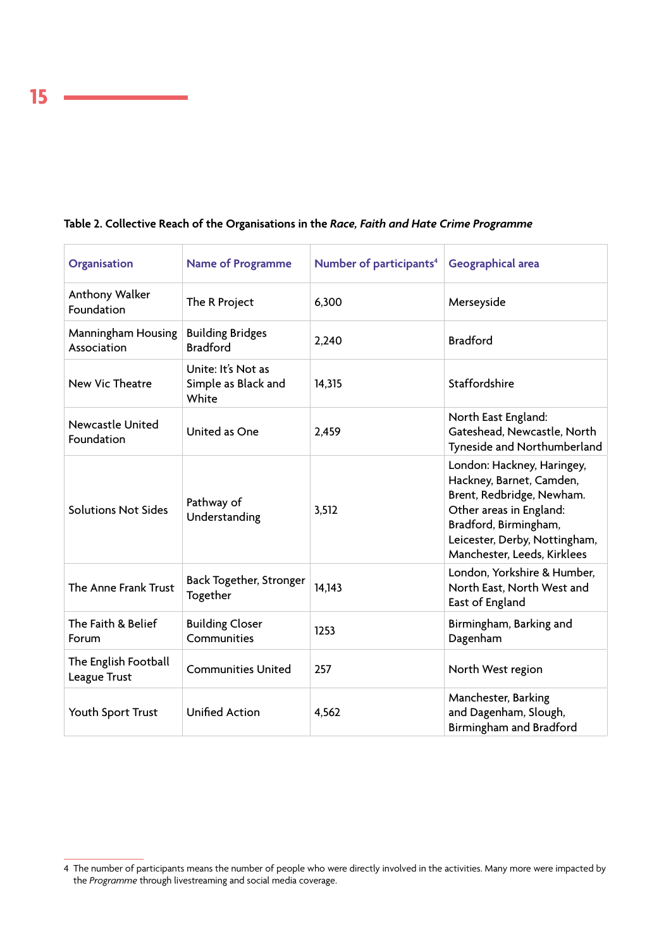| Organisation                          | <b>Name of Programme</b>                           | Number of participants <sup>4</sup> | Geographical area                                                                                                                                                                                       |
|---------------------------------------|----------------------------------------------------|-------------------------------------|---------------------------------------------------------------------------------------------------------------------------------------------------------------------------------------------------------|
| Anthony Walker<br>Foundation          | The R Project                                      | 6,300                               | Merseyside                                                                                                                                                                                              |
| Manningham Housing<br>Association     | <b>Building Bridges</b><br><b>Bradford</b>         | 2,240                               | <b>Bradford</b>                                                                                                                                                                                         |
| New Vic Theatre                       | Unite: It's Not as<br>Simple as Black and<br>White | 14,315                              | Staffordshire                                                                                                                                                                                           |
| <b>Newcastle United</b><br>Foundation | United as One                                      | 2,459                               | North East England:<br>Gateshead, Newcastle, North<br>Tyneside and Northumberland                                                                                                                       |
| <b>Solutions Not Sides</b>            | Pathway of<br>Understanding                        | 3,512                               | London: Hackney, Haringey,<br>Hackney, Barnet, Camden,<br>Brent, Redbridge, Newham.<br>Other areas in England:<br>Bradford, Birmingham,<br>Leicester, Derby, Nottingham,<br>Manchester, Leeds, Kirklees |
| The Anne Frank Trust                  | Back Together, Stronger<br>Together                | 14,143                              | London, Yorkshire & Humber,<br>North East, North West and<br>East of England                                                                                                                            |
| The Faith & Belief<br>Forum           | <b>Building Closer</b><br>Communities              | 1253                                | Birmingham, Barking and<br>Dagenham                                                                                                                                                                     |
| The English Football<br>League Trust  | <b>Communities United</b>                          | 257                                 | North West region                                                                                                                                                                                       |
| Youth Sport Trust                     | <b>Unified Action</b>                              | 4,562                               | Manchester, Barking<br>and Dagenham, Slough,<br>Birmingham and Bradford                                                                                                                                 |

# **Table 2. Collective Reach of the Organisations in the** *Race, Faith and Hate Crime Programme*

**15**

<sup>4</sup> The number of participants means the number of people who were directly involved in the activities. Many more were impacted by the *Programme* through livestreaming and social media coverage.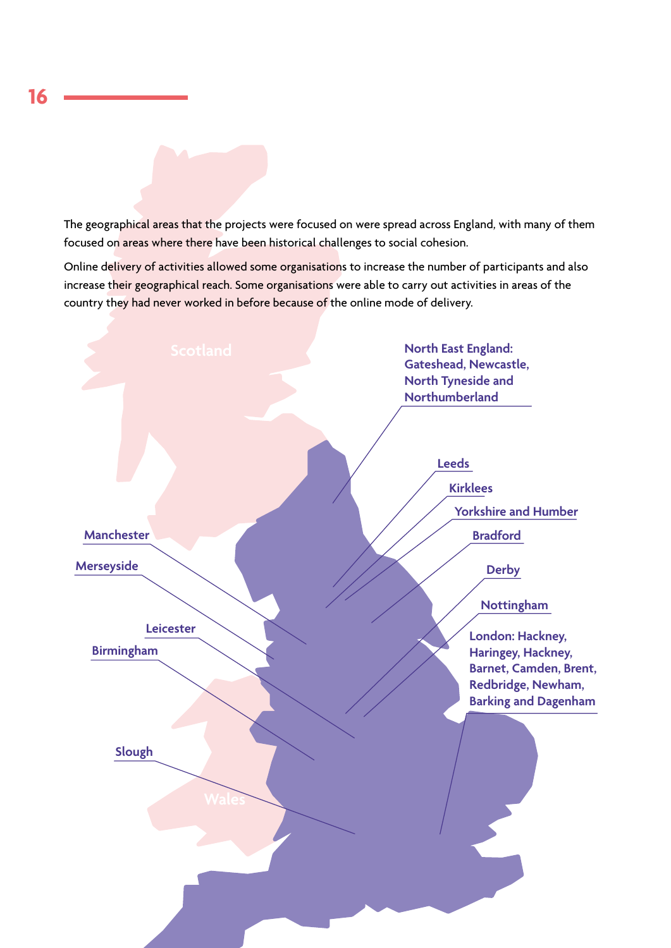The geographical areas that the projects were focused on were spread across England, with many of them focused on areas where there have been historical challenges to social cohesion.

Online delivery of activities allowed some organisations to increase the number of participants and also increase their geographical reach. Some organisations were able to carry out activities in areas of the country they had never worked in before because of the online mode of delivery.

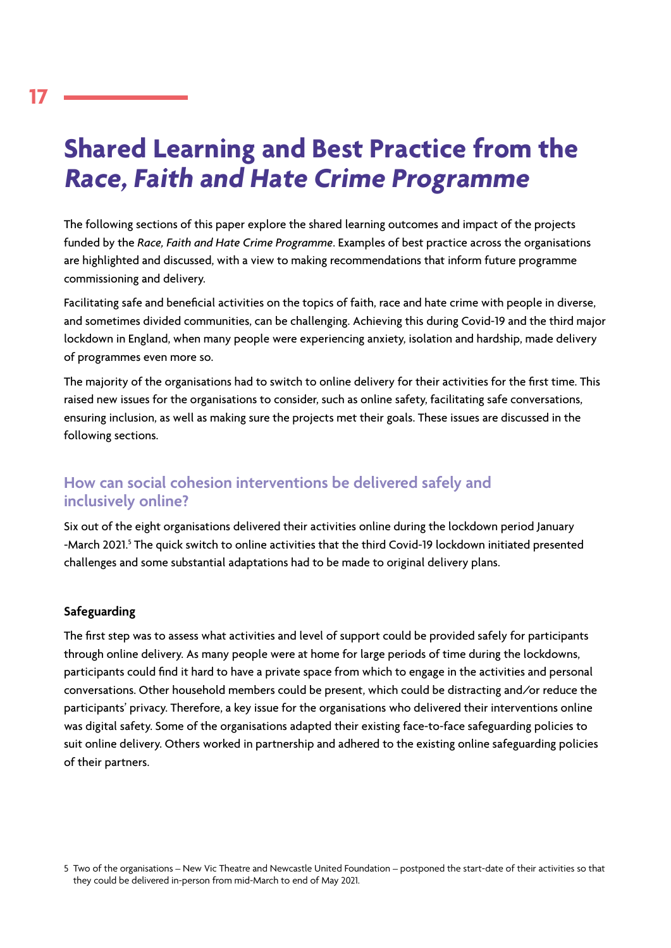# **Shared Learning and Best Practice from the Race, Faith and Hate Crime Programme**

The following sections of this paper explore the shared learning outcomes and impact of the projects funded by the *Race, Faith and Hate Crime Programme*. Examples of best practice across the organisations are highlighted and discussed, with a view to making recommendations that inform future programme commissioning and delivery.

Facilitating safe and beneficial activities on the topics of faith, race and hate crime with people in diverse, and sometimes divided communities, can be challenging. Achieving this during Covid-19 and the third major lockdown in England, when many people were experiencing anxiety, isolation and hardship, made delivery of programmes even more so.

The majority of the organisations had to switch to online delivery for their activities for the first time. This raised new issues for the organisations to consider, such as online safety, facilitating safe conversations, ensuring inclusion, as well as making sure the projects met their goals. These issues are discussed in the following sections.

# **How can social cohesion interventions be delivered safely and inclusively online?**

Six out of the eight organisations delivered their activities online during the lockdown period January -March 2021.<sup>5</sup> The quick switch to online activities that the third Covid-19 lockdown initiated presented challenges and some substantial adaptations had to be made to original delivery plans.

# **Safeguarding**

The first step was to assess what activities and level of support could be provided safely for participants through online delivery. As many people were at home for large periods of time during the lockdowns, participants could find it hard to have a private space from which to engage in the activities and personal conversations. Other household members could be present, which could be distracting and/or reduce the participants' privacy. Therefore, a key issue for the organisations who delivered their interventions online was digital safety. Some of the organisations adapted their existing face-to-face safeguarding policies to suit online delivery. Others worked in partnership and adhered to the existing online safeguarding policies of their partners.

<sup>5</sup> Two of the organisations – New Vic Theatre and Newcastle United Foundation – postponed the start-date of their activities so that they could be delivered in-person from mid-March to end of May 2021.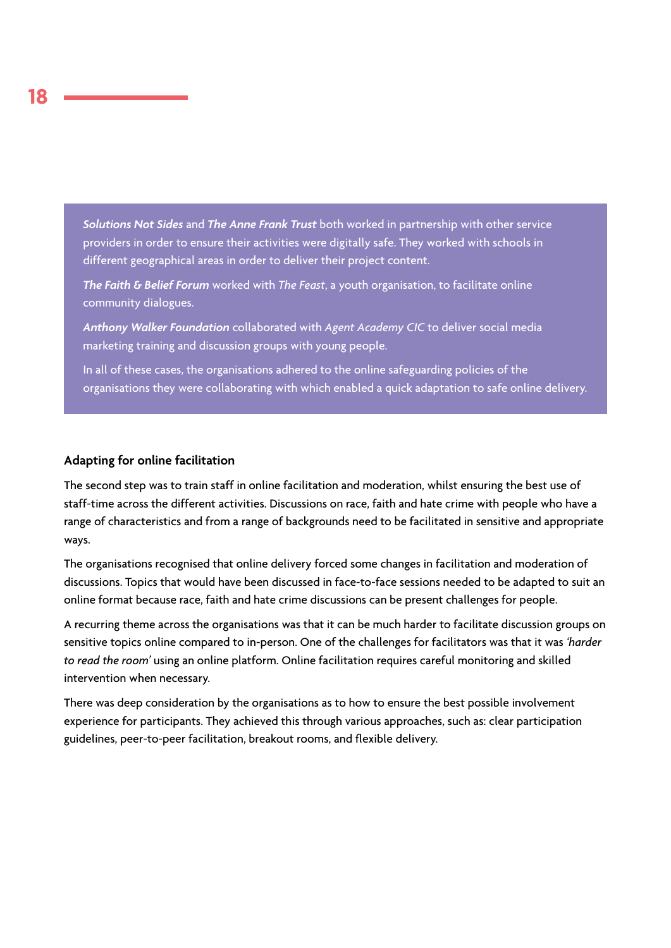*Solutions Not Sides* and *The Anne Frank Trust* both worked in partnership with other service providers in order to ensure their activities were digitally safe. They worked with schools in different geographical areas in order to deliver their project content.

*The Faith & Belief Forum* worked with *The Feast*, a youth organisation, to facilitate online community dialogues.

*Anthony Walker Foundation* collaborated with *Agent Academy CIC* to deliver social media marketing training and discussion groups with young people.

In all of these cases, the organisations adhered to the online safeguarding policies of the organisations they were collaborating with which enabled a quick adaptation to safe online delivery.

#### **Adapting for online facilitation**

The second step was to train staff in online facilitation and moderation, whilst ensuring the best use of staff-time across the different activities. Discussions on race, faith and hate crime with people who have a range of characteristics and from a range of backgrounds need to be facilitated in sensitive and appropriate ways.

The organisations recognised that online delivery forced some changes in facilitation and moderation of discussions. Topics that would have been discussed in face-to-face sessions needed to be adapted to suit an online format because race, faith and hate crime discussions can be present challenges for people.

A recurring theme across the organisations was that it can be much harder to facilitate discussion groups on sensitive topics online compared to in-person. One of the challenges for facilitators was that it was *'harder to read the room'* using an online platform. Online facilitation requires careful monitoring and skilled intervention when necessary.

There was deep consideration by the organisations as to how to ensure the best possible involvement experience for participants. They achieved this through various approaches, such as: clear participation guidelines, peer-to-peer facilitation, breakout rooms, and flexible delivery.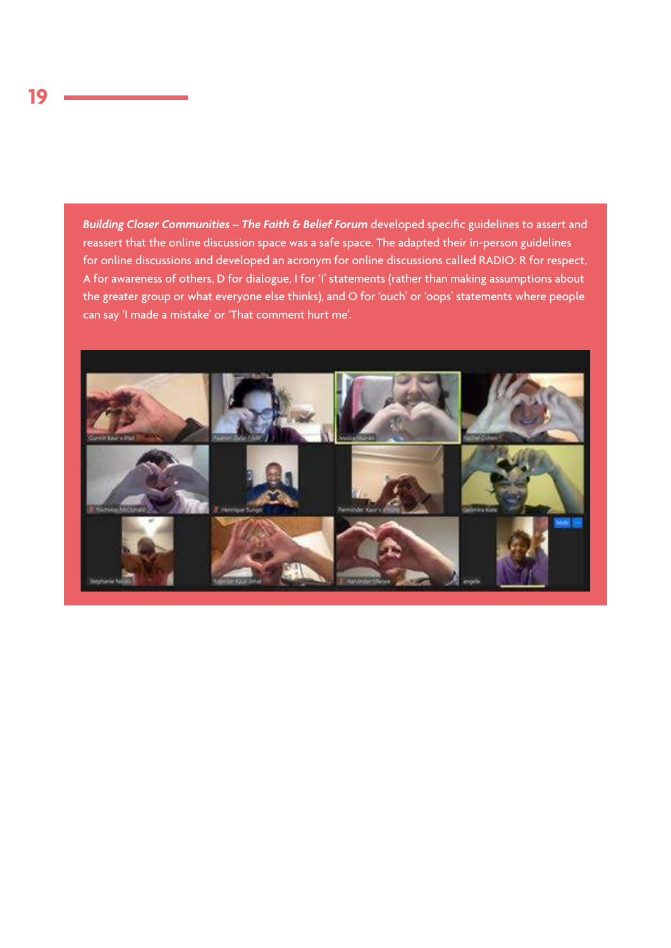*Building Closer Communities – The Faith & Belief Forum* developed specific guidelines to assert and reassert that the online discussion space was a safe space. The adapted their in-person guidelines for online discussions and developed an acronym for online discussions called RADIO: R for respect, A for awareness of others, D for dialogue, I for 'I' statements (rather than making assumptions about the greater group or what everyone else thinks), and O for 'ouch' or 'oops' statements where people can say 'I made a mistake' or 'That comment hurt me'.

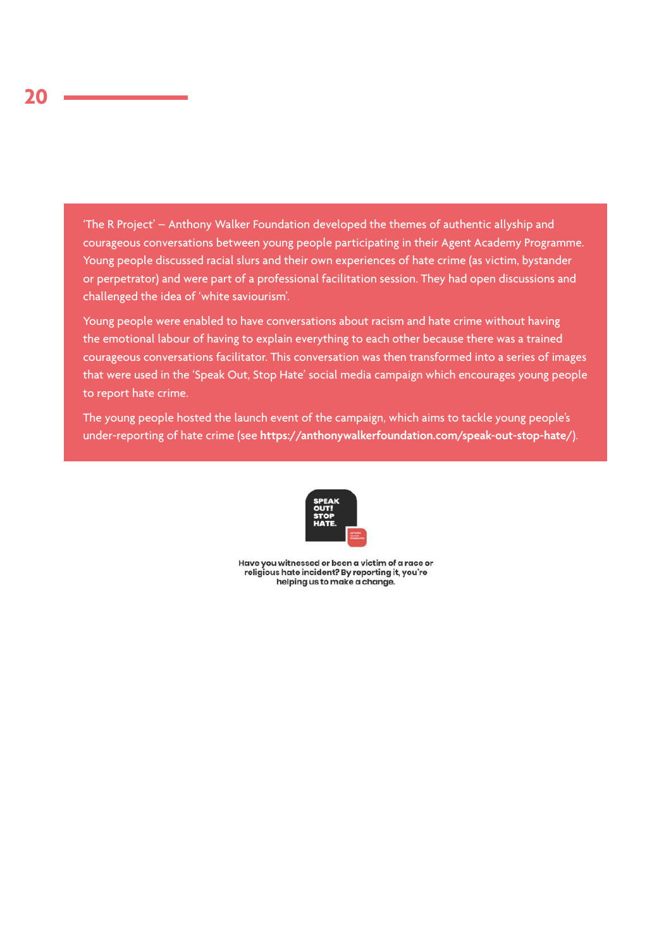'The R Project' – Anthony Walker Foundation developed the themes of authentic allyship and courageous conversations between young people participating in their Agent Academy Programme. Young people discussed racial slurs and their own experiences of hate crime (as victim, bystander or perpetrator) and were part of a professional facilitation session. They had open discussions and challenged the idea of 'white saviourism'.

Young people were enabled to have conversations about racism and hate crime without having the emotional labour of having to explain everything to each other because there was a trained courageous conversations facilitator. This conversation was then transformed into a series of images that were used in the 'Speak Out, Stop Hate' social media campaign which encourages young people to report hate crime.

The young people hosted the launch event of the campaign, which aims to tackle young people's under-reporting of hate crime (see **https://anthonywalkerfoundation.com/speak-out-stop-hate/**).



Have you witnessed or been a victim of a race or religious hate incident? By reporting it, you're helping us to make a change.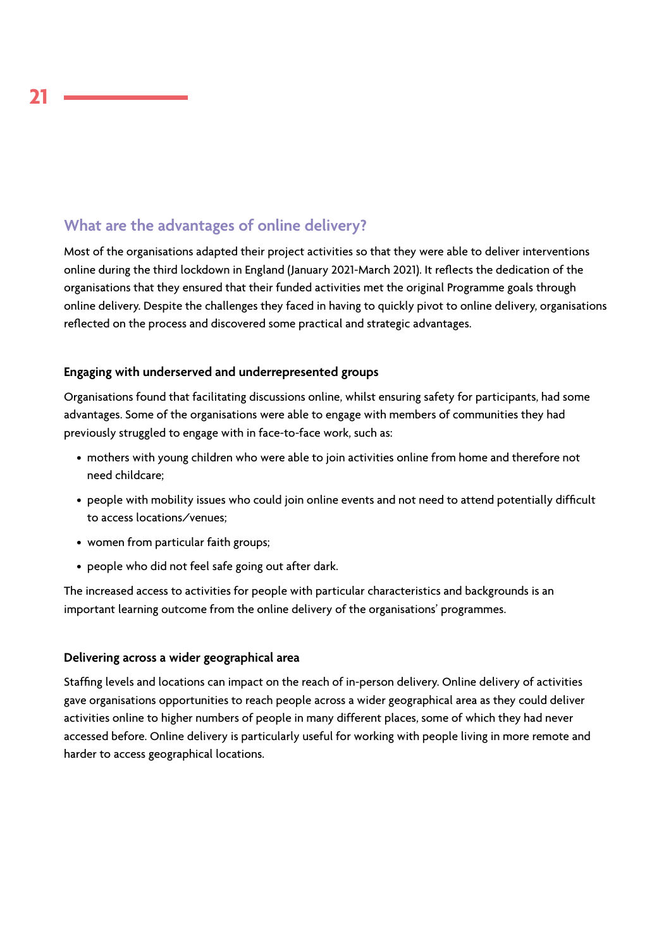# **What are the advantages of online delivery?**

Most of the organisations adapted their project activities so that they were able to deliver interventions online during the third lockdown in England (January 2021-March 2021). It reflects the dedication of the organisations that they ensured that their funded activities met the original Programme goals through online delivery. Despite the challenges they faced in having to quickly pivot to online delivery, organisations reflected on the process and discovered some practical and strategic advantages.

# **Engaging with underserved and underrepresented groups**

Organisations found that facilitating discussions online, whilst ensuring safety for participants, had some advantages. Some of the organisations were able to engage with members of communities they had previously struggled to engage with in face-to-face work, such as:

- mothers with young children who were able to join activities online from home and therefore not need childcare;
- people with mobility issues who could join online events and not need to attend potentially difficult to access locations/venues;
- women from particular faith groups;
- people who did not feel safe going out after dark.

The increased access to activities for people with particular characteristics and backgrounds is an important learning outcome from the online delivery of the organisations' programmes.

### **Delivering across a wider geographical area**

Staffing levels and locations can impact on the reach of in-person delivery. Online delivery of activities gave organisations opportunities to reach people across a wider geographical area as they could deliver activities online to higher numbers of people in many different places, some of which they had never accessed before. Online delivery is particularly useful for working with people living in more remote and harder to access geographical locations.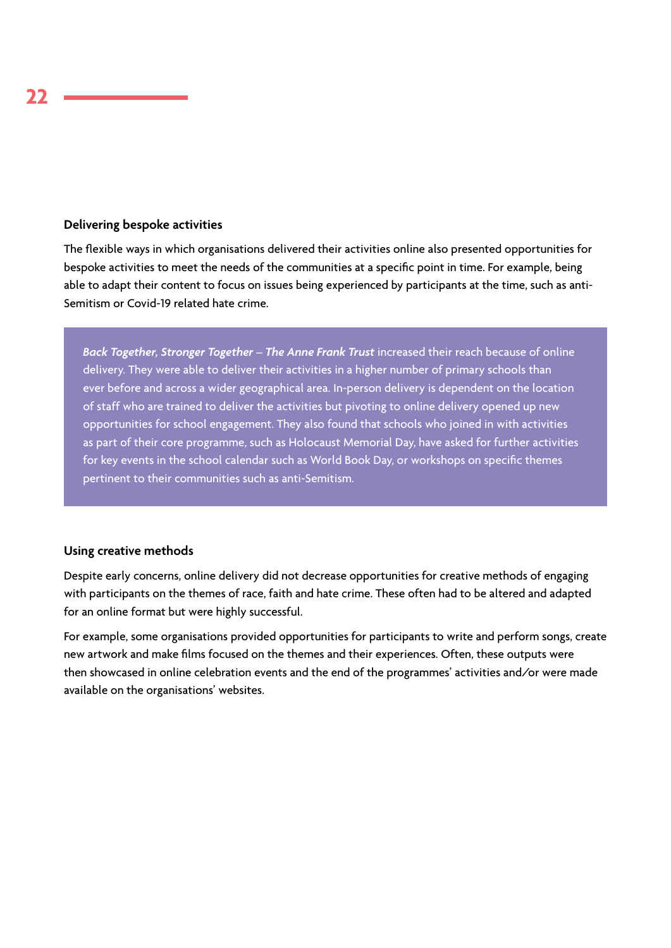### **Delivering bespoke activities**

The flexible ways in which organisations delivered their activities online also presented opportunities for bespoke activities to meet the needs of the communities at a specific point in time. For example, being able to adapt their content to focus on issues being experienced by participants at the time, such as anti-Semitism or Covid-19 related hate crime.

*Back Together, Stronger Together – The Anne Frank Trust* increased their reach because of online delivery. They were able to deliver their activities in a higher number of primary schools than ever before and across a wider geographical area. In-person delivery is dependent on the location of staff who are trained to deliver the activities but pivoting to online delivery opened up new opportunities for school engagement. They also found that schools who joined in with activities as part of their core programme, such as Holocaust Memorial Day, have asked for further activities for key events in the school calendar such as World Book Day, or workshops on specific themes pertinent to their communities such as anti-Semitism.

### **Using creative methods**

Despite early concerns, online delivery did not decrease opportunities for creative methods of engaging with participants on the themes of race, faith and hate crime. These often had to be altered and adapted for an online format but were highly successful.

For example, some organisations provided opportunities for participants to write and perform songs, create new artwork and make films focused on the themes and their experiences. Often, these outputs were then showcased in online celebration events and the end of the programmes' activities and/or were made available on the organisations' websites.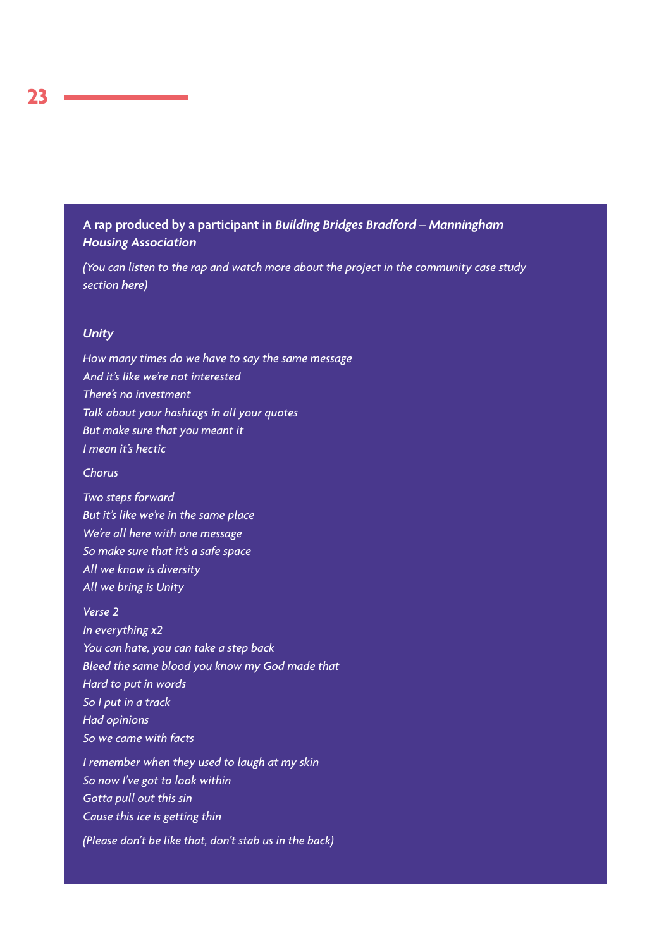# **A rap produced by a participant in** *Building Bridges Bradford – Manningham Housing Association*

*(You can listen to the rap and watch more about the project in the community case study section [here](https://www.manninghamhousing.co.uk/community/))*

#### *Unity*

*How many times do we have to say the same message And it's like we're not interested There's no investment Talk about your hashtags in all your quotes But make sure that you meant it I mean it's hectic* 

*Chorus* 

*Two steps forward But it's like we're in the same place We're all here with one message So make sure that it's a safe space All we know is diversity All we bring is Unity* 

*Verse 2 In everything x2 You can hate, you can take a step back Bleed the same blood you know my God made that Hard to put in words So I put in a track Had opinions So we came with facts I remember when they used to laugh at my skin* 

*So now I've got to look within Gotta pull out this sin Cause this ice is getting thin* 

*(Please don't be like that, don't stab us in the back)*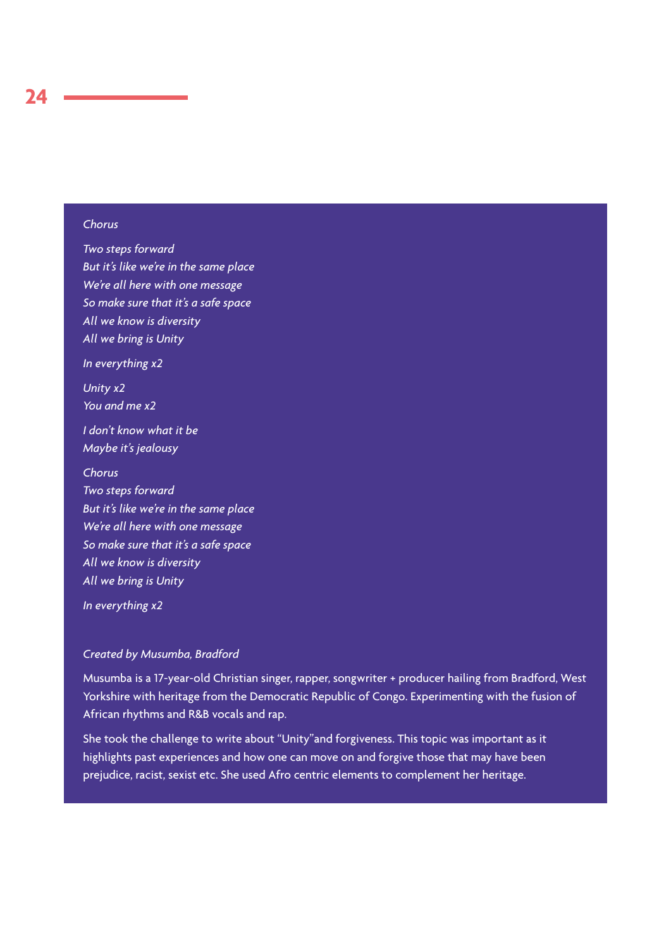### *Chorus*

*Two steps forward But it's like we're in the same place We're all here with one message So make sure that it's a safe space All we know is diversity All we bring is Unity In everything x2 Unity x2 You and me x2 I don't know what it be Maybe it's jealousy Chorus Two steps forward But it's like we're in the same place We're all here with one message So make sure that it's a safe space All we know is diversity All we bring is Unity* 

*In everything x2*

#### *Created by Musumba, Bradford*

Musumba is a 17-year-old Christian singer, rapper, songwriter + producer hailing from Bradford, West Yorkshire with heritage from the Democratic Republic of Congo. Experimenting with the fusion of African rhythms and R&B vocals and rap.

She took the challenge to write about "Unity"and forgiveness. This topic was important as it highlights past experiences and how one can move on and forgive those that may have been prejudice, racist, sexist etc. She used Afro centric elements to complement her heritage.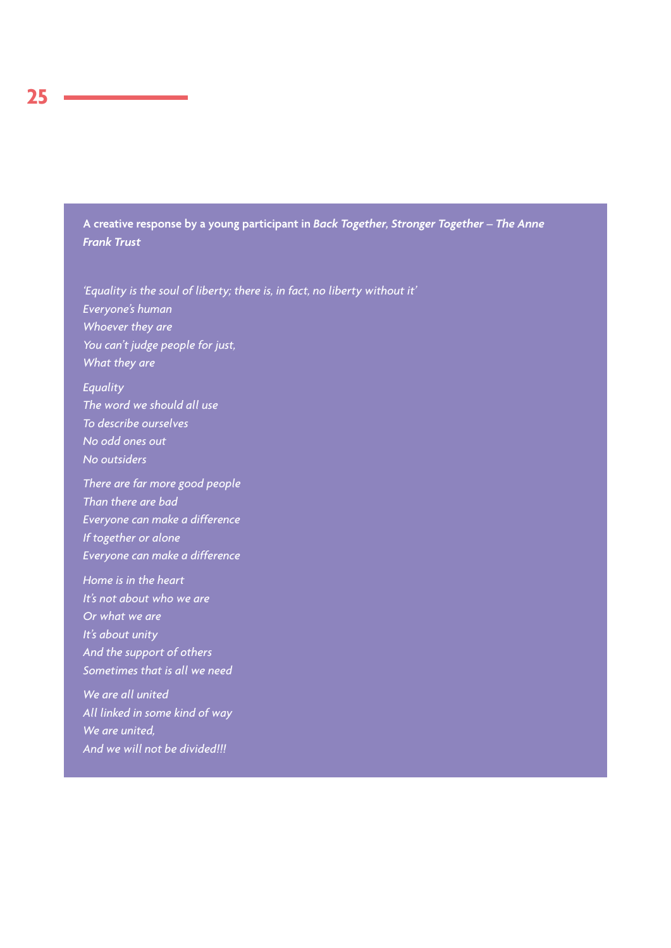**A creative response by a young participant in** *Back Together, Stronger Together – The Anne Frank Trust*

*'Equality is the soul of liberty; there is, in fact, no liberty without it' Everyone's human Whoever they are You can't judge people for just, What they are*

*Equality The word we should all use To describe ourselves No odd ones out No outsiders*

*There are far more good people Than there are bad Everyone can make a difference If together or alone Everyone can make a difference*

*Home is in the heart It's not about who we are Or what we are It's about unity And the support of others Sometimes that is all we need*

*We are all united All linked in some kind of way We are united, And we will not be divided!!!*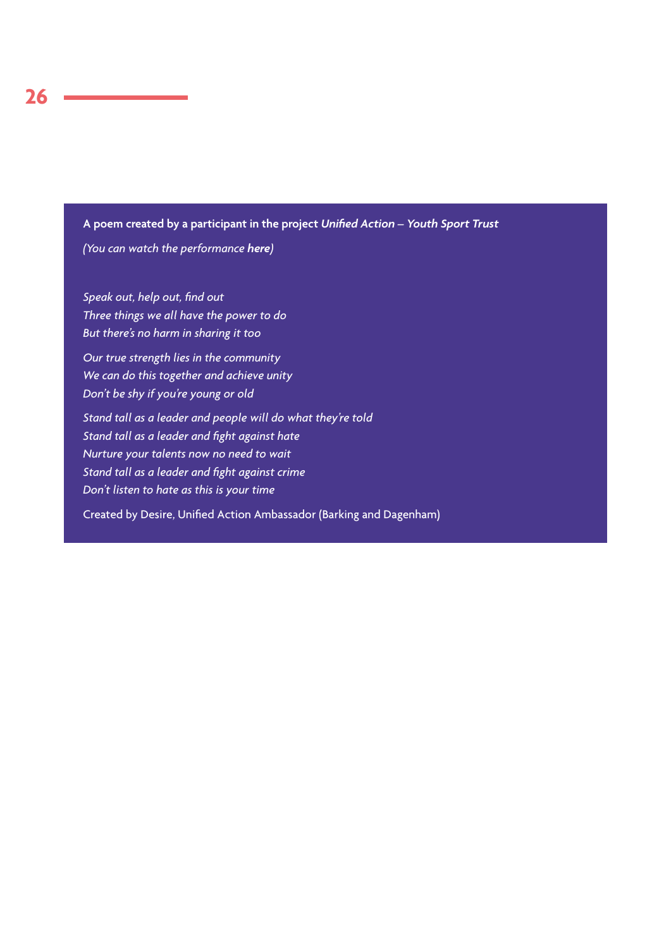# **A poem created by a participant in the project** *Unified Action – Youth Sport Trust*

*(You can watch the performance [here](https://youtu.be/Y1MBmxrmeTU))*

*Speak out, help out, find out Three things we all have the power to do But there's no harm in sharing it too*

*Our true strength lies in the community We can do this together and achieve unity Don't be shy if you're young or old*

*Stand tall as a leader and people will do what they're told Stand tall as a leader and fight against hate Nurture your talents now no need to wait Stand tall as a leader and fight against crime Don't listen to hate as this is your time*

Created by Desire, Unified Action Ambassador (Barking and Dagenham)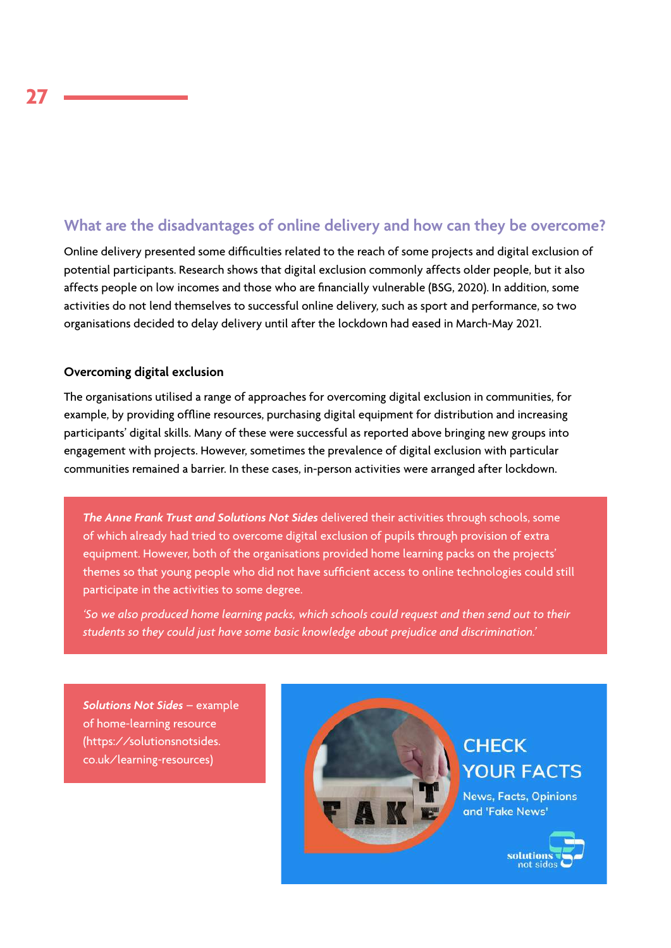# **What are the disadvantages of online delivery and how can they be overcome?**

Online delivery presented some difficulties related to the reach of some projects and digital exclusion of potential participants. Research shows that digital exclusion commonly affects older people, but it also affects people on low incomes and those who are financially vulnerable (BSG, 2020). In addition, some activities do not lend themselves to successful online delivery, such as sport and performance, so two organisations decided to delay delivery until after the lockdown had eased in March-May 2021.

### **Overcoming digital exclusion**

The organisations utilised a range of approaches for overcoming digital exclusion in communities, for example, by providing offline resources, purchasing digital equipment for distribution and increasing participants' digital skills. Many of these were successful as reported above bringing new groups into engagement with projects. However, sometimes the prevalence of digital exclusion with particular communities remained a barrier. In these cases, in-person activities were arranged after lockdown.

*The Anne Frank Trust and Solutions Not Sides* delivered their activities through schools, some of which already had tried to overcome digital exclusion of pupils through provision of extra equipment. However, both of the organisations provided home learning packs on the projects' themes so that young people who did not have sufficient access to online technologies could still participate in the activities to some degree.

*'So we also produced home learning packs, which schools could request and then send out to their students so they could just have some basic knowledge about prejudice and discrimination.'*

*Solutions Not Sides* – example of home-learning resource (https://solutionsnotsides. co.uk/learning-resources)

l



# **CHECK YOUR FACTS**

**News, Facts, Opinions** and 'Fake News'

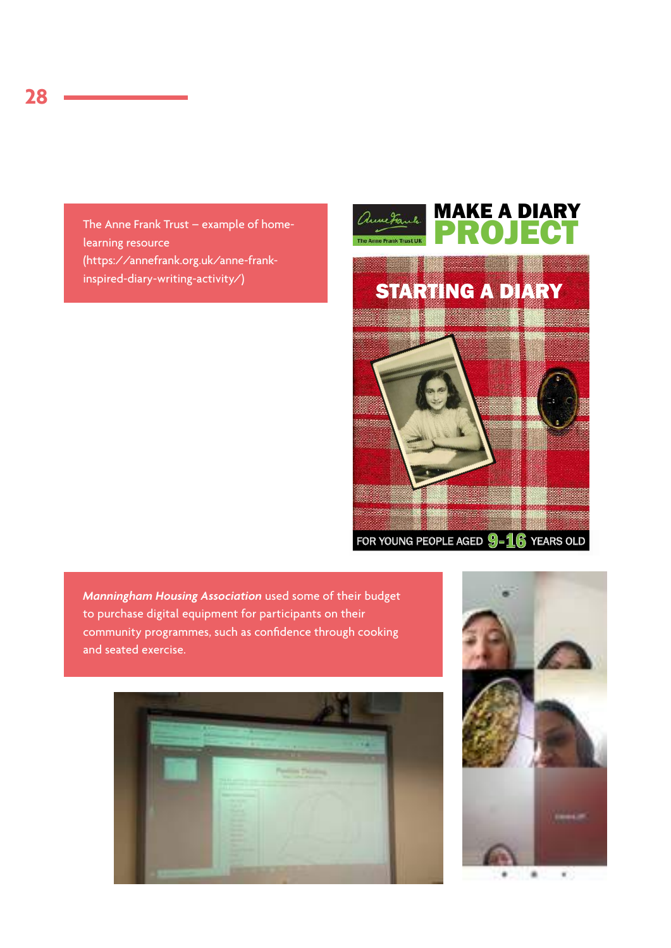The Anne Frank Trust – example of homelearning resource (https://annefrank.org.uk/anne-frankinspired-diary-writing-activity/)



*Manningham Housing Association* used some of their budget to purchase digital equipment for participants on their community programmes, such as confidence through cooking and seated exercise.



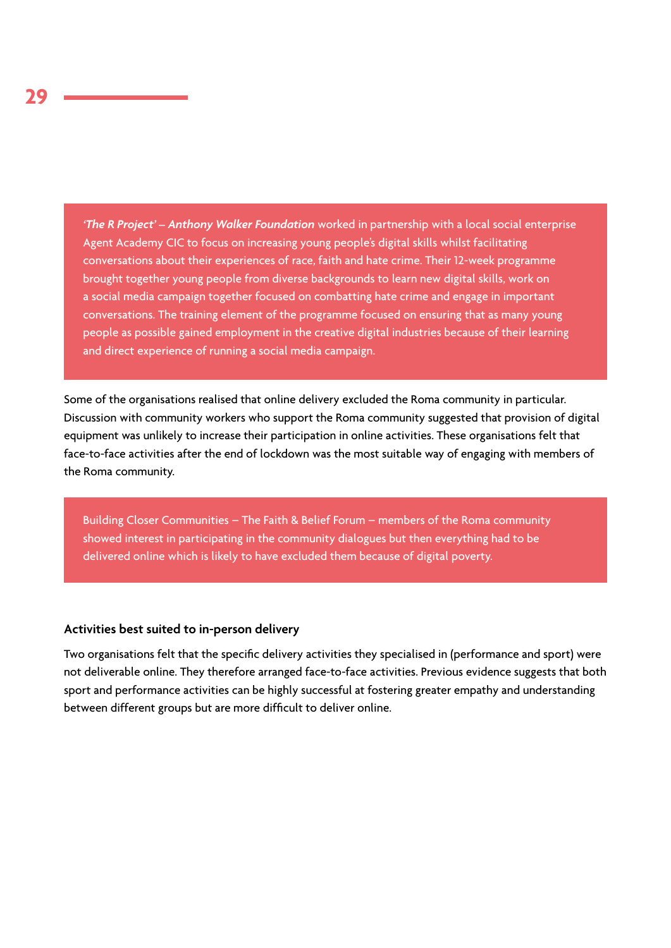*'The R Project' – Anthony Walker Foundation* worked in partnership with a local social enterprise Agent Academy CIC to focus on increasing young people's digital skills whilst facilitating conversations about their experiences of race, faith and hate crime. Their 12-week programme brought together young people from diverse backgrounds to learn new digital skills, work on a social media campaign together focused on combatting hate crime and engage in important conversations. The training element of the programme focused on ensuring that as many young people as possible gained employment in the creative digital industries because of their learning and direct experience of running a social media campaign.

Some of the organisations realised that online delivery excluded the Roma community in particular. Discussion with community workers who support the Roma community suggested that provision of digital equipment was unlikely to increase their participation in online activities. These organisations felt that face-to-face activities after the end of lockdown was the most suitable way of engaging with members of the Roma community.

Building Closer Communities – The Faith & Belief Forum – members of the Roma community showed interest in participating in the community dialogues but then everything had to be delivered online which is likely to have excluded them because of digital poverty.

# **Activities best suited to in-person delivery**

Two organisations felt that the specific delivery activities they specialised in (performance and sport) were not deliverable online. They therefore arranged face-to-face activities. Previous evidence suggests that both sport and performance activities can be highly successful at fostering greater empathy and understanding between different groups but are more difficult to deliver online.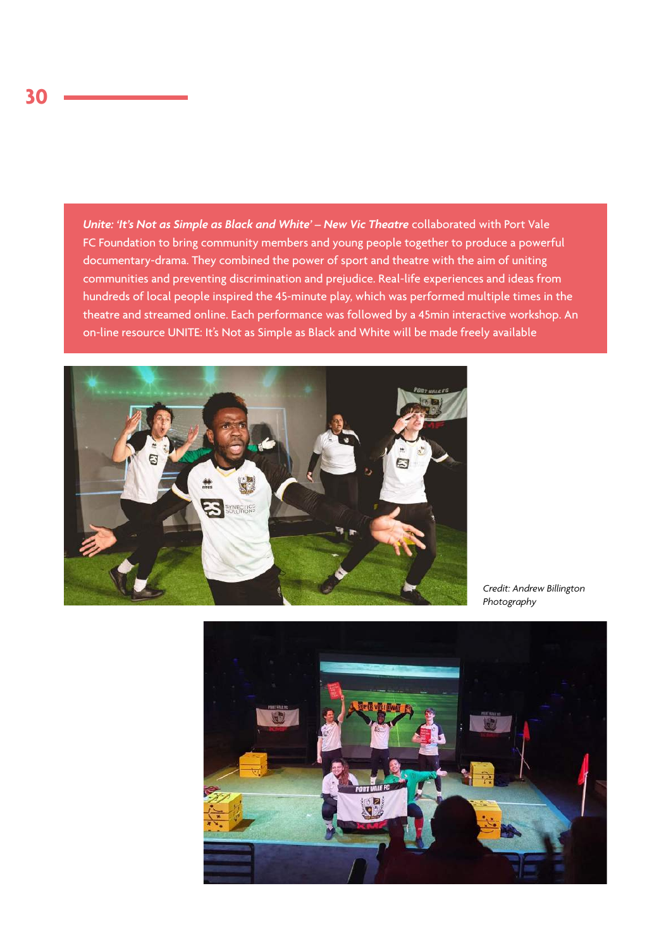*Unite: 'It's Not as Simple as Black and White' – New Vic Theatre* collaborated with Port Vale FC Foundation to bring community members and young people together to produce a powerful documentary-drama. They combined the power of sport and theatre with the aim of uniting communities and preventing discrimination and prejudice. Real-life experiences and ideas from hundreds of local people inspired the 45-minute play, which was performed multiple times in the theatre and streamed online. Each performance was followed by a 45min interactive workshop. An on-line resource UNITE: It's Not as Simple as Black and White will be made freely available



*Credit: Andrew Billington Photography*

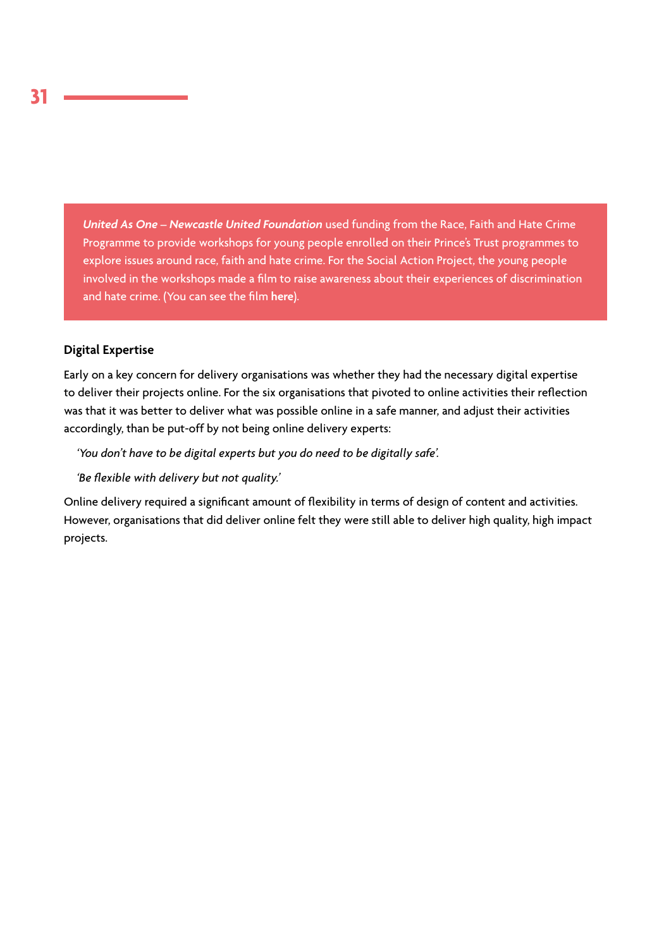*United As One – Newcastle United Foundation* used funding from the Race, Faith and Hate Crime Programme to provide workshops for young people enrolled on their Prince's Trust programmes to explore issues around race, faith and hate crime. For the Social Action Project, the young people involved in the workshops made a film to raise awareness about their experiences of discrimination and hate crime. (You can see the film **[here](https://www.youtube.com/watch?v=pVETrrKzAJI)**).

### **Digital Expertise**

Early on a key concern for delivery organisations was whether they had the necessary digital expertise to deliver their projects online. For the six organisations that pivoted to online activities their reflection was that it was better to deliver what was possible online in a safe manner, and adjust their activities accordingly, than be put-off by not being online delivery experts:

*'You don't have to be digital experts but you do need to be digitally safe'.*

*'Be flexible with delivery but not quality.'*

Online delivery required a significant amount of flexibility in terms of design of content and activities. However, organisations that did deliver online felt they were still able to deliver high quality, high impact projects.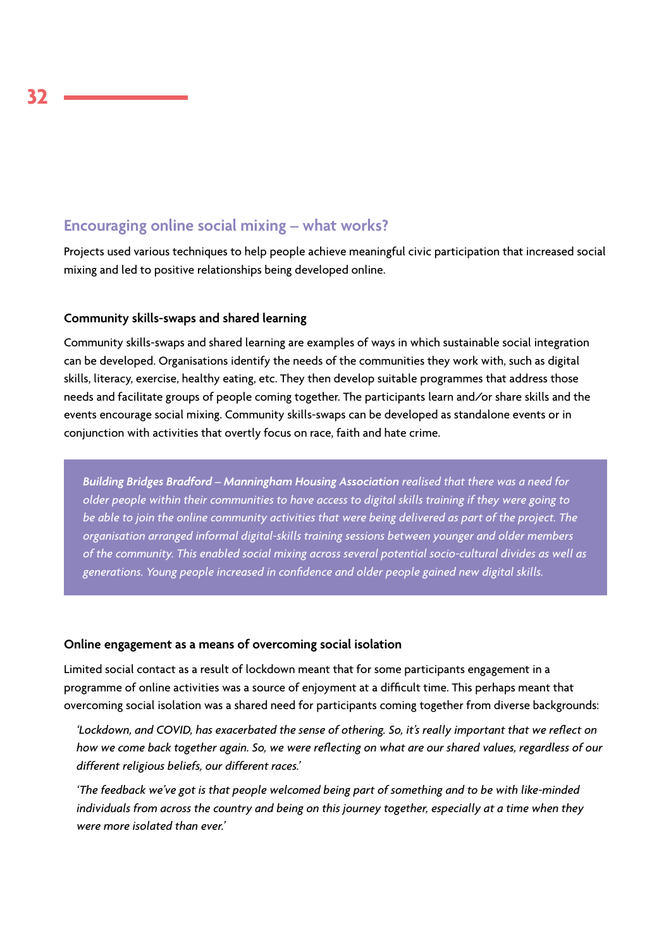# **Encouraging online social mixing – what works?**

Projects used various techniques to help people achieve meaningful civic participation that increased social mixing and led to positive relationships being developed online.

### **Community skills-swaps and shared learning**

Community skills-swaps and shared learning are examples of ways in which sustainable social integration can be developed. Organisations identify the needs of the communities they work with, such as digital skills, literacy, exercise, healthy eating, etc. They then develop suitable programmes that address those needs and facilitate groups of people coming together. The participants learn and/or share skills and the events encourage social mixing. Community skills-swaps can be developed as standalone events or in conjunction with activities that overtly focus on race, faith and hate crime.

*Building Bridges Bradford – Manningham Housing Association realised that there was a need for older people within their communities to have access to digital skills training if they were going to be able to join the online community activities that were being delivered as part of the project. The organisation arranged informal digital-skills training sessions between younger and older members of the community. This enabled social mixing across several potential socio-cultural divides as well as generations. Young people increased in confidence and older people gained new digital skills.*

#### **Online engagement as a means of overcoming social isolation**

Limited social contact as a result of lockdown meant that for some participants engagement in a programme of online activities was a source of enjoyment at a difficult time. This perhaps meant that overcoming social isolation was a shared need for participants coming together from diverse backgrounds:

*'Lockdown, and COVID, has exacerbated the sense of othering. So, it's really important that we reflect on how we come back together again. So, we were reflecting on what are our shared values, regardless of our different religious beliefs, our different races.'*

*'The feedback we've got is that people welcomed being part of something and to be with like-minded individuals from across the country and being on this journey together, especially at a time when they were more isolated than ever.'*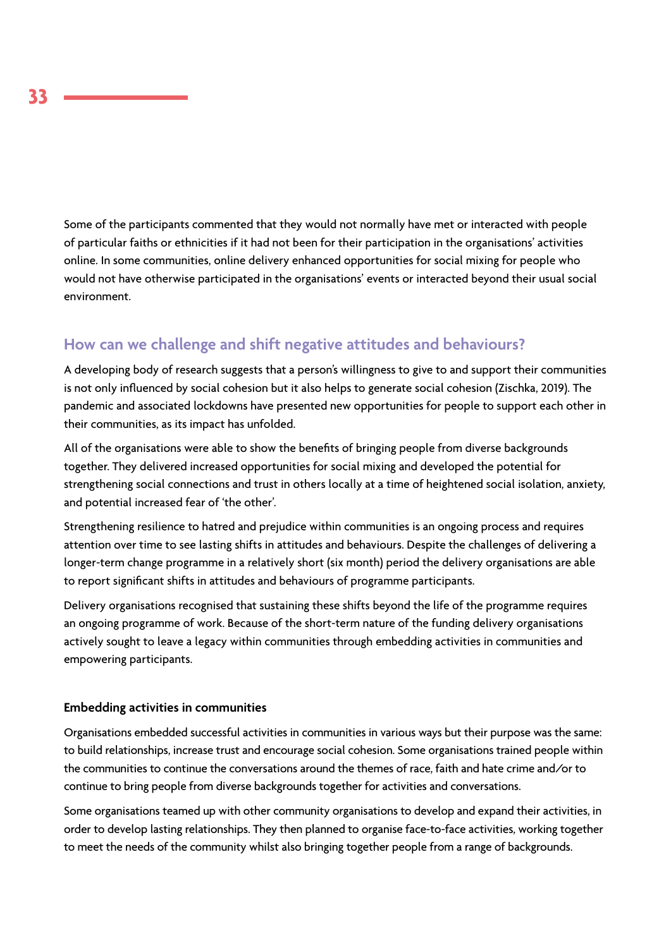Some of the participants commented that they would not normally have met or interacted with people of particular faiths or ethnicities if it had not been for their participation in the organisations' activities online. In some communities, online delivery enhanced opportunities for social mixing for people who would not have otherwise participated in the organisations' events or interacted beyond their usual social environment.

# **How can we challenge and shift negative attitudes and behaviours?**

A developing body of research suggests that a person's willingness to give to and support their communities is not only influenced by social cohesion but it also helps to generate social cohesion (Zischka, 2019). The pandemic and associated lockdowns have presented new opportunities for people to support each other in their communities, as its impact has unfolded.

All of the organisations were able to show the benefits of bringing people from diverse backgrounds together. They delivered increased opportunities for social mixing and developed the potential for strengthening social connections and trust in others locally at a time of heightened social isolation, anxiety, and potential increased fear of 'the other'.

Strengthening resilience to hatred and prejudice within communities is an ongoing process and requires attention over time to see lasting shifts in attitudes and behaviours. Despite the challenges of delivering a longer-term change programme in a relatively short (six month) period the delivery organisations are able to report significant shifts in attitudes and behaviours of programme participants.

Delivery organisations recognised that sustaining these shifts beyond the life of the programme requires an ongoing programme of work. Because of the short-term nature of the funding delivery organisations actively sought to leave a legacy within communities through embedding activities in communities and empowering participants.

### **Embedding activities in communities**

Organisations embedded successful activities in communities in various ways but their purpose was the same: to build relationships, increase trust and encourage social cohesion. Some organisations trained people within the communities to continue the conversations around the themes of race, faith and hate crime and/or to continue to bring people from diverse backgrounds together for activities and conversations.

Some organisations teamed up with other community organisations to develop and expand their activities, in order to develop lasting relationships. They then planned to organise face-to-face activities, working together to meet the needs of the community whilst also bringing together people from a range of backgrounds.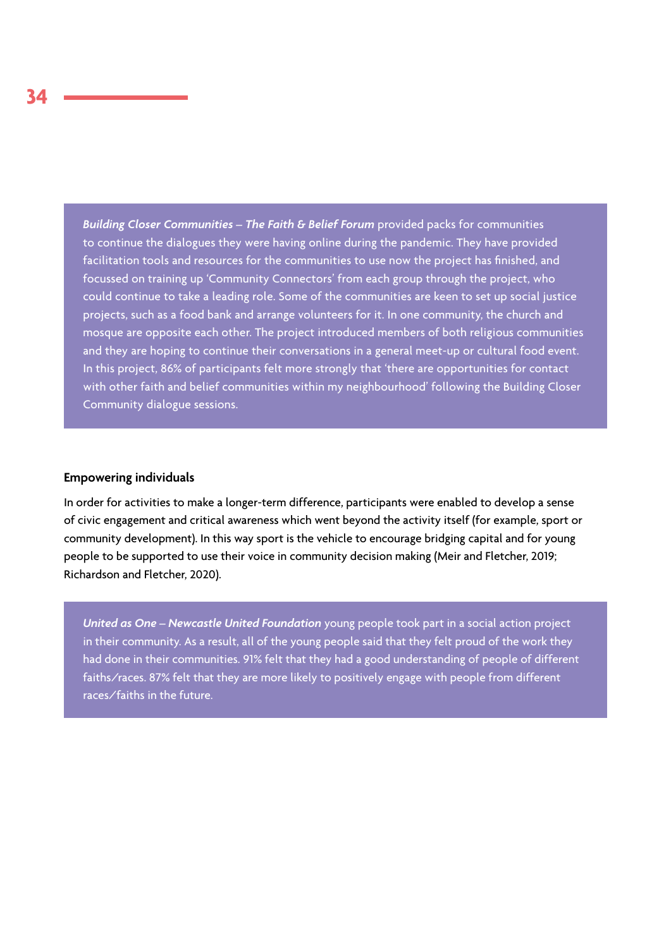*Building Closer Communities – The Faith & Belief Forum* provided packs for communities to continue the dialogues they were having online during the pandemic. They have provided facilitation tools and resources for the communities to use now the project has finished, and focussed on training up 'Community Connectors' from each group through the project, who could continue to take a leading role. Some of the communities are keen to set up social justice projects, such as a food bank and arrange volunteers for it. In one community, the church and mosque are opposite each other. The project introduced members of both religious communities and they are hoping to continue their conversations in a general meet-up or cultural food event. In this project, 86% of participants felt more strongly that 'there are opportunities for contact with other faith and belief communities within my neighbourhood' following the Building Closer Community dialogue sessions.

#### **Empowering individuals**

In order for activities to make a longer-term difference, participants were enabled to develop a sense of civic engagement and critical awareness which went beyond the activity itself (for example, sport or community development). In this way sport is the vehicle to encourage bridging capital and for young people to be supported to use their voice in community decision making (Meir and Fletcher, 2019; Richardson and Fletcher, 2020).

*United as One – Newcastle United Foundation* young people took part in a social action project in their community. As a result, all of the young people said that they felt proud of the work they had done in their communities. 91% felt that they had a good understanding of people of different faiths/races. 87% felt that they are more likely to positively engage with people from different races/faiths in the future.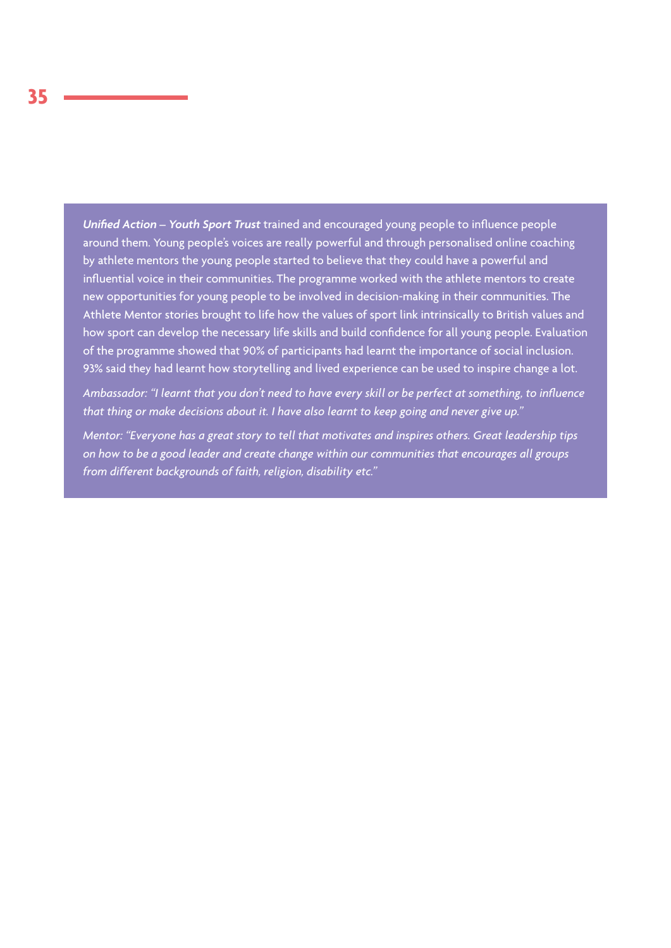*Unified Action – Youth Sport Trust* trained and encouraged young people to influence people around them. Young people's voices are really powerful and through personalised online coaching by athlete mentors the young people started to believe that they could have a powerful and influential voice in their communities. The programme worked with the athlete mentors to create new opportunities for young people to be involved in decision-making in their communities. The Athlete Mentor stories brought to life how the values of sport link intrinsically to British values and how sport can develop the necessary life skills and build confidence for all young people. Evaluation of the programme showed that 90% of participants had learnt the importance of social inclusion. 93% said they had learnt how storytelling and lived experience can be used to inspire change a lot.

*Ambassador: "I learnt that you don't need to have every skill or be perfect at something, to influence that thing or make decisions about it. I have also learnt to keep going and never give up."*

*Mentor: "Everyone has a great story to tell that motivates and inspires others. Great leadership tips on how to be a good leader and create change within our communities that encourages all groups from different backgrounds of faith, religion, disability etc."*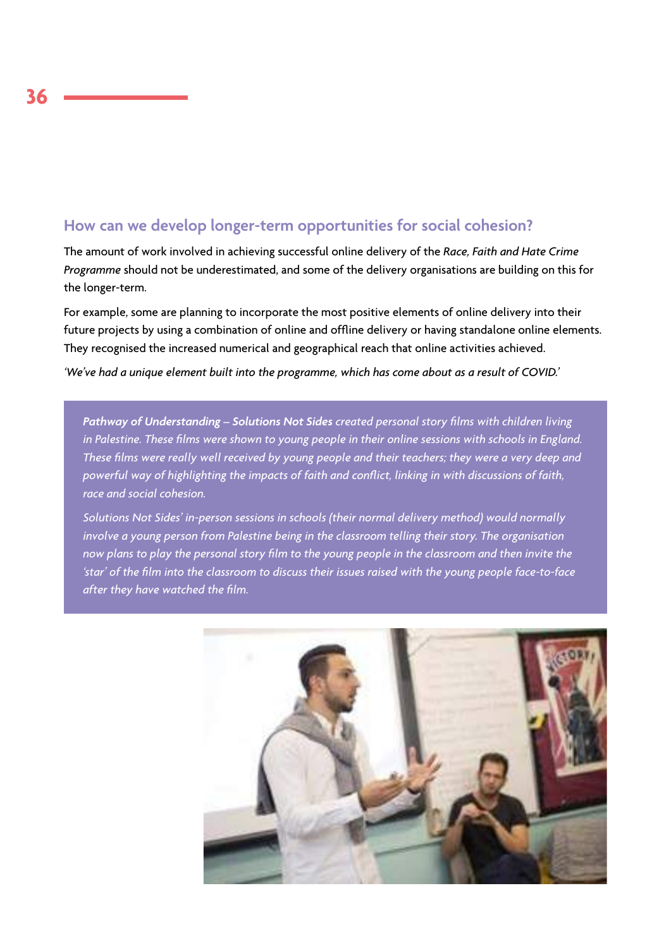# **How can we develop longer-term opportunities for social cohesion?**

The amount of work involved in achieving successful online delivery of the *Race, Faith and Hate Crime Programme* should not be underestimated, and some of the delivery organisations are building on this for the longer-term.

For example, some are planning to incorporate the most positive elements of online delivery into their future projects by using a combination of online and offline delivery or having standalone online elements. They recognised the increased numerical and geographical reach that online activities achieved.

*'We've had a unique element built into the programme, which has come about as a result of COVID.'*

*Pathway of Understanding – Solutions Not Sides created personal story films with children living in Palestine. These films were shown to young people in their online sessions with schools in England. These films were really well received by young people and their teachers; they were a very deep and powerful way of highlighting the impacts of faith and conflict, linking in with discussions of faith, race and social cohesion.* 

*Solutions Not Sides' in-person sessions in schools (their normal delivery method) would normally involve a young person from Palestine being in the classroom telling their story. The organisation now plans to play the personal story film to the young people in the classroom and then invite the 'star' of the film into the classroom to discuss their issues raised with the young people face-to-face after they have watched the film.*

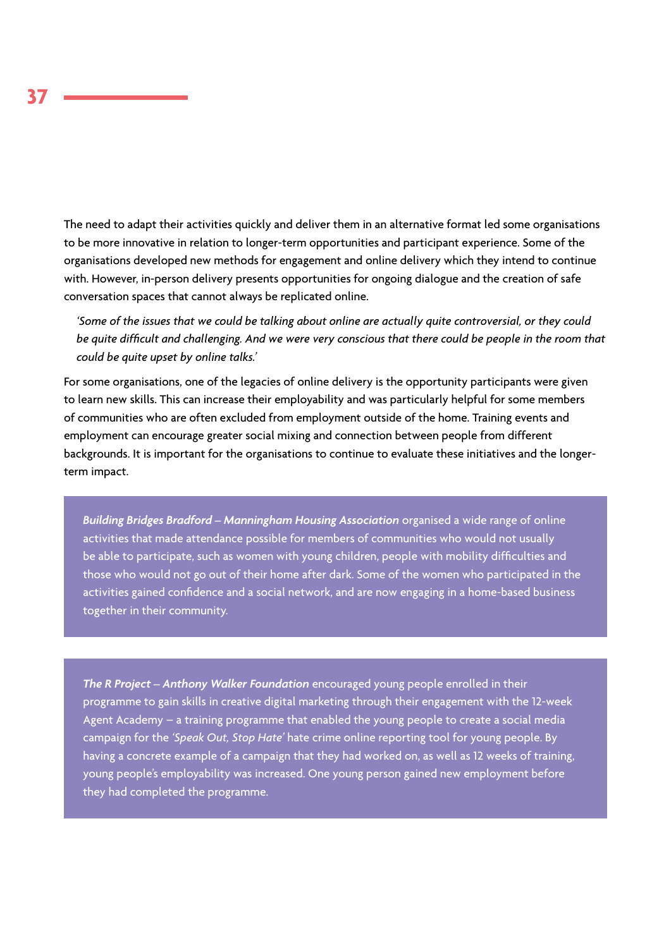The need to adapt their activities quickly and deliver them in an alternative format led some organisations to be more innovative in relation to longer-term opportunities and participant experience. Some of the organisations developed new methods for engagement and online delivery which they intend to continue with. However, in-person delivery presents opportunities for ongoing dialogue and the creation of safe conversation spaces that cannot always be replicated online.

*'Some of the issues that we could be talking about online are actually quite controversial, or they could be quite difficult and challenging. And we were very conscious that there could be people in the room that could be quite upset by online talks.'*

For some organisations, one of the legacies of online delivery is the opportunity participants were given to learn new skills. This can increase their employability and was particularly helpful for some members of communities who are often excluded from employment outside of the home. Training events and employment can encourage greater social mixing and connection between people from different backgrounds. It is important for the organisations to continue to evaluate these initiatives and the longerterm impact.

*Building Bridges Bradford – Manningham Housing Association* organised a wide range of online activities that made attendance possible for members of communities who would not usually be able to participate, such as women with young children, people with mobility difficulties and those who would not go out of their home after dark. Some of the women who participated in the activities gained confidence and a social network, and are now engaging in a home-based business together in their community.

*The R Project – Anthony Walker Foundation* encouraged young people enrolled in their programme to gain skills in creative digital marketing through their engagement with the 12-week Agent Academy – a training programme that enabled the young people to create a social media campaign for the *'Speak Out, Stop Hate'* hate crime online reporting tool for young people. By having a concrete example of a campaign that they had worked on, as well as 12 weeks of training, young people's employability was increased. One young person gained new employment before they had completed the programme.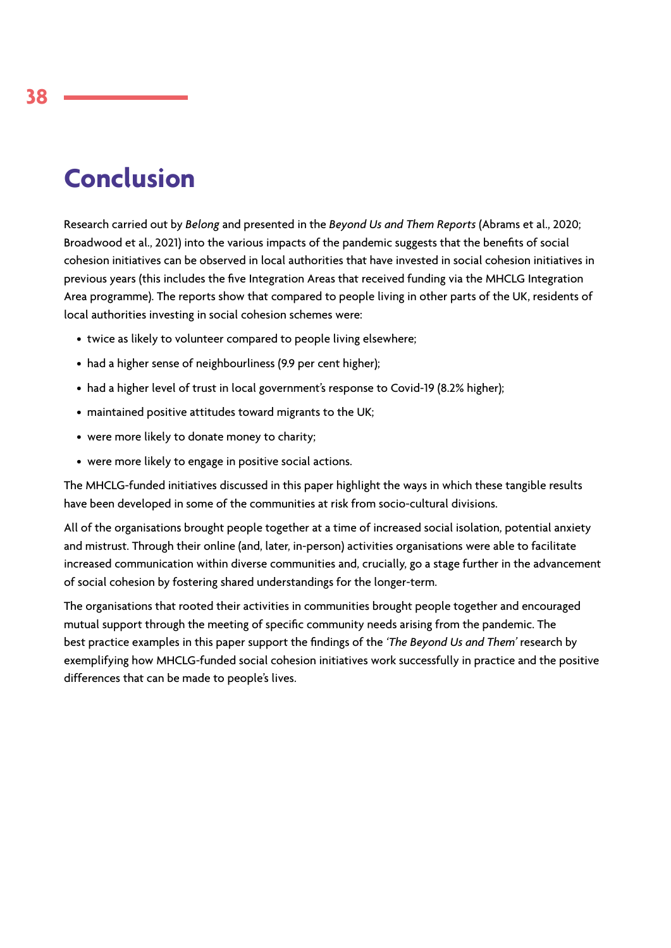# **Conclusion**

Research carried out by *Belong* and presented in the *Beyond Us and Them Reports* (Abrams et al., 2020; Broadwood et al., 2021) into the various impacts of the pandemic suggests that the benefits of social cohesion initiatives can be observed in local authorities that have invested in social cohesion initiatives in previous years (this includes the five Integration Areas that received funding via the MHCLG Integration Area programme). The reports show that compared to people living in other parts of the UK, residents of local authorities investing in social cohesion schemes were:

- twice as likely to volunteer compared to people living elsewhere;
- had a higher sense of neighbourliness (9.9 per cent higher);
- had a higher level of trust in local government's response to Covid-19 (8.2% higher);
- maintained positive attitudes toward migrants to the UK;
- were more likely to donate money to charity;
- were more likely to engage in positive social actions.

The MHCLG-funded initiatives discussed in this paper highlight the ways in which these tangible results have been developed in some of the communities at risk from socio-cultural divisions.

All of the organisations brought people together at a time of increased social isolation, potential anxiety and mistrust. Through their online (and, later, in-person) activities organisations were able to facilitate increased communication within diverse communities and, crucially, go a stage further in the advancement of social cohesion by fostering shared understandings for the longer-term.

The organisations that rooted their activities in communities brought people together and encouraged mutual support through the meeting of specific community needs arising from the pandemic. The best practice examples in this paper support the findings of the *'The Beyond Us and Them'* research by exemplifying how MHCLG-funded social cohesion initiatives work successfully in practice and the positive differences that can be made to people's lives.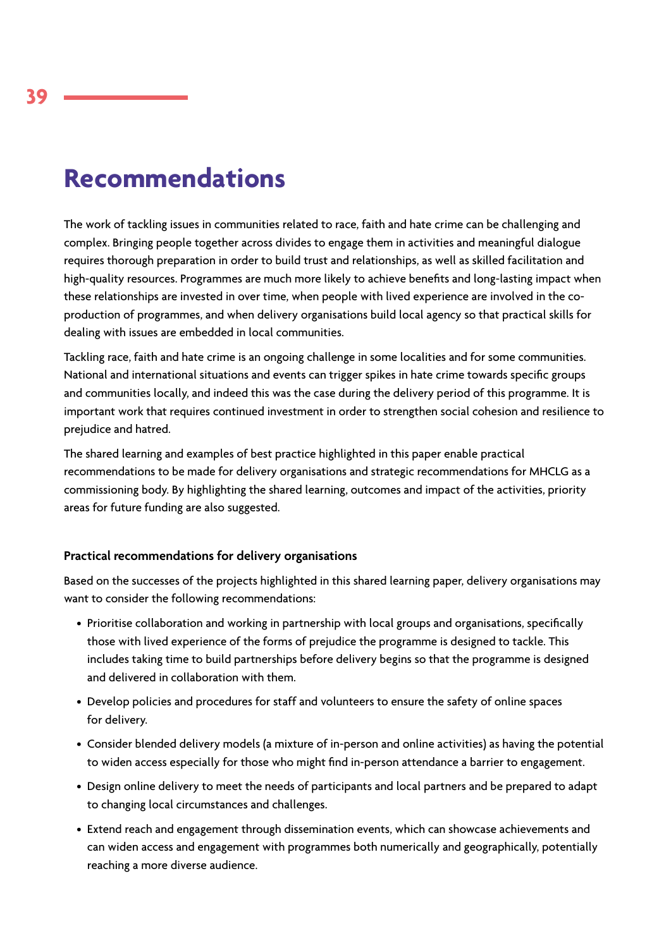# **Recommendations**

The work of tackling issues in communities related to race, faith and hate crime can be challenging and complex. Bringing people together across divides to engage them in activities and meaningful dialogue requires thorough preparation in order to build trust and relationships, as well as skilled facilitation and high-quality resources. Programmes are much more likely to achieve benefits and long-lasting impact when these relationships are invested in over time, when people with lived experience are involved in the coproduction of programmes, and when delivery organisations build local agency so that practical skills for dealing with issues are embedded in local communities.

Tackling race, faith and hate crime is an ongoing challenge in some localities and for some communities. National and international situations and events can trigger spikes in hate crime towards specific groups and communities locally, and indeed this was the case during the delivery period of this programme. It is important work that requires continued investment in order to strengthen social cohesion and resilience to prejudice and hatred.

The shared learning and examples of best practice highlighted in this paper enable practical recommendations to be made for delivery organisations and strategic recommendations for MHCLG as a commissioning body. By highlighting the shared learning, outcomes and impact of the activities, priority areas for future funding are also suggested.

# **Practical recommendations for delivery organisations**

Based on the successes of the projects highlighted in this shared learning paper, delivery organisations may want to consider the following recommendations:

- Prioritise collaboration and working in partnership with local groups and organisations, specifically those with lived experience of the forms of prejudice the programme is designed to tackle. This includes taking time to build partnerships before delivery begins so that the programme is designed and delivered in collaboration with them.
- Develop policies and procedures for staff and volunteers to ensure the safety of online spaces for delivery.
- Consider blended delivery models (a mixture of in-person and online activities) as having the potential to widen access especially for those who might find in-person attendance a barrier to engagement.
- Design online delivery to meet the needs of participants and local partners and be prepared to adapt to changing local circumstances and challenges.
- Extend reach and engagement through dissemination events, which can showcase achievements and can widen access and engagement with programmes both numerically and geographically, potentially reaching a more diverse audience.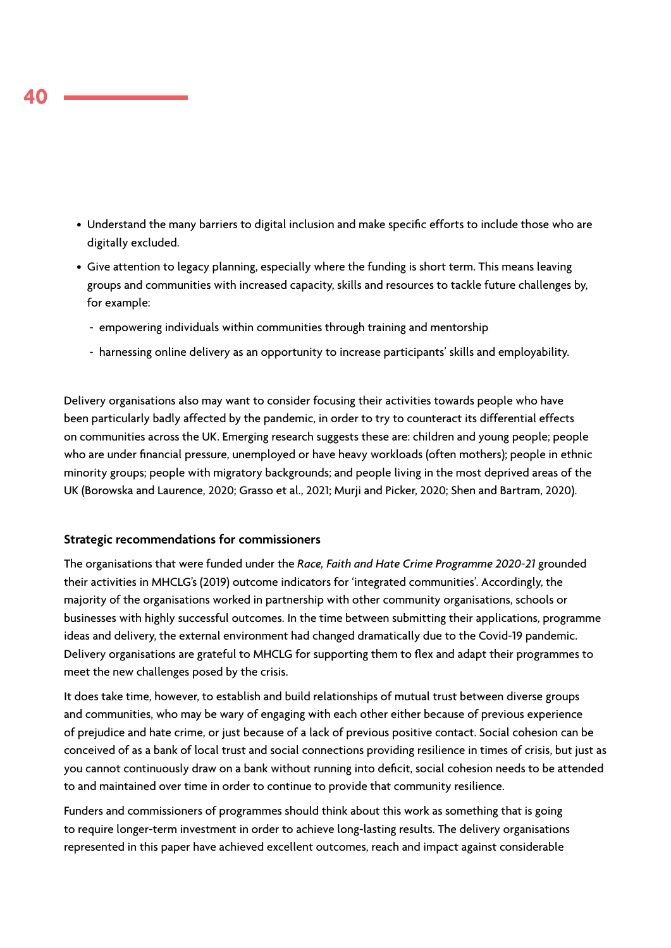- Understand the many barriers to digital inclusion and make specific efforts to include those who are digitally excluded.
- Give attention to legacy planning, especially where the funding is short term. This means leaving groups and communities with increased capacity, skills and resources to tackle future challenges by, for example:
	- empowering individuals within communities through training and mentorship
	- harnessing online delivery as an opportunity to increase participants' skills and employability.

Delivery organisations also may want to consider focusing their activities towards people who have been particularly badly affected by the pandemic, in order to try to counteract its differential effects on communities across the UK. Emerging research suggests these are: children and young people; people who are under financial pressure, unemployed or have heavy workloads (often mothers); people in ethnic minority groups; people with migratory backgrounds; and people living in the most deprived areas of the UK (Borowska and Laurence, 2020; Grasso et al., 2021; Murji and Picker, 2020; Shen and Bartram, 2020).

### **Strategic recommendations for commissioners**

The organisations that were funded under the *Race, Faith and Hate Crime Programme 2020-21* grounded their activities in MHCLG's (2019) outcome indicators for 'integrated communities'. Accordingly, the majority of the organisations worked in partnership with other community organisations, schools or businesses with highly successful outcomes. In the time between submitting their applications, programme ideas and delivery, the external environment had changed dramatically due to the Covid-19 pandemic. Delivery organisations are grateful to MHCLG for supporting them to flex and adapt their programmes to meet the new challenges posed by the crisis.

It does take time, however, to establish and build relationships of mutual trust between diverse groups and communities, who may be wary of engaging with each other either because of previous experience of prejudice and hate crime, or just because of a lack of previous positive contact. Social cohesion can be conceived of as a bank of local trust and social connections providing resilience in times of crisis, but just as you cannot continuously draw on a bank without running into deficit, social cohesion needs to be attended to and maintained over time in order to continue to provide that community resilience.

Funders and commissioners of programmes should think about this work as something that is going to require longer-term investment in order to achieve long-lasting results. The delivery organisations represented in this paper have achieved excellent outcomes, reach and impact against considerable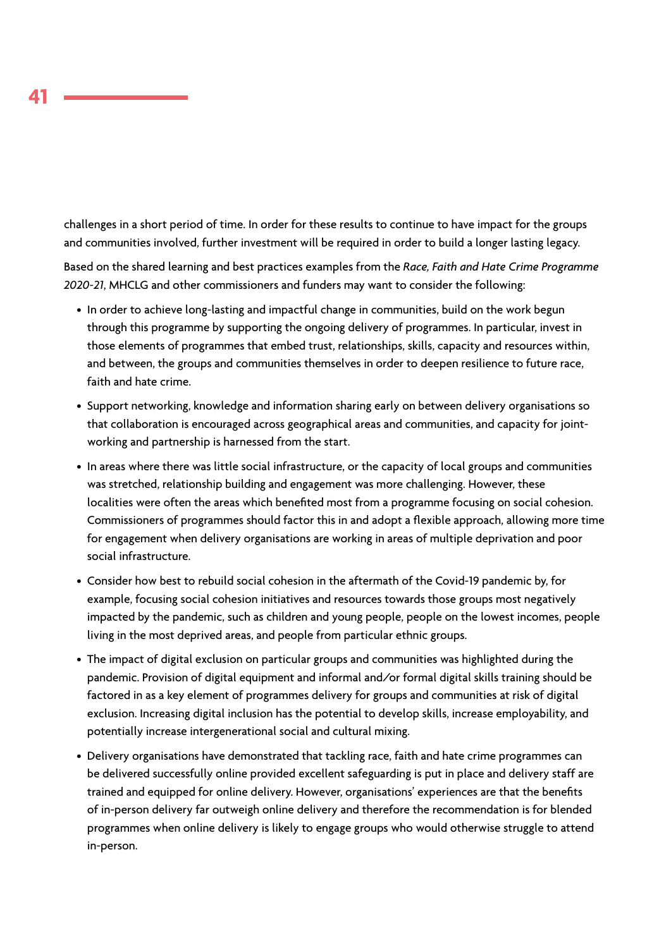challenges in a short period of time. In order for these results to continue to have impact for the groups and communities involved, further investment will be required in order to build a longer lasting legacy.

Based on the shared learning and best practices examples from the *Race, Faith and Hate Crime Programme 2020-21*, MHCLG and other commissioners and funders may want to consider the following:

- In order to achieve long-lasting and impactful change in communities, build on the work begun through this programme by supporting the ongoing delivery of programmes. In particular, invest in those elements of programmes that embed trust, relationships, skills, capacity and resources within, and between, the groups and communities themselves in order to deepen resilience to future race, faith and hate crime.
- Support networking, knowledge and information sharing early on between delivery organisations so that collaboration is encouraged across geographical areas and communities, and capacity for jointworking and partnership is harnessed from the start.
- In areas where there was little social infrastructure, or the capacity of local groups and communities was stretched, relationship building and engagement was more challenging. However, these localities were often the areas which benefited most from a programme focusing on social cohesion. Commissioners of programmes should factor this in and adopt a flexible approach, allowing more time for engagement when delivery organisations are working in areas of multiple deprivation and poor social infrastructure.
- Consider how best to rebuild social cohesion in the aftermath of the Covid-19 pandemic by, for example, focusing social cohesion initiatives and resources towards those groups most negatively impacted by the pandemic, such as children and young people, people on the lowest incomes, people living in the most deprived areas, and people from particular ethnic groups.
- The impact of digital exclusion on particular groups and communities was highlighted during the pandemic. Provision of digital equipment and informal and/or formal digital skills training should be factored in as a key element of programmes delivery for groups and communities at risk of digital exclusion. Increasing digital inclusion has the potential to develop skills, increase employability, and potentially increase intergenerational social and cultural mixing.
- Delivery organisations have demonstrated that tackling race, faith and hate crime programmes can be delivered successfully online provided excellent safeguarding is put in place and delivery staff are trained and equipped for online delivery. However, organisations' experiences are that the benefits of in-person delivery far outweigh online delivery and therefore the recommendation is for blended programmes when online delivery is likely to engage groups who would otherwise struggle to attend in-person.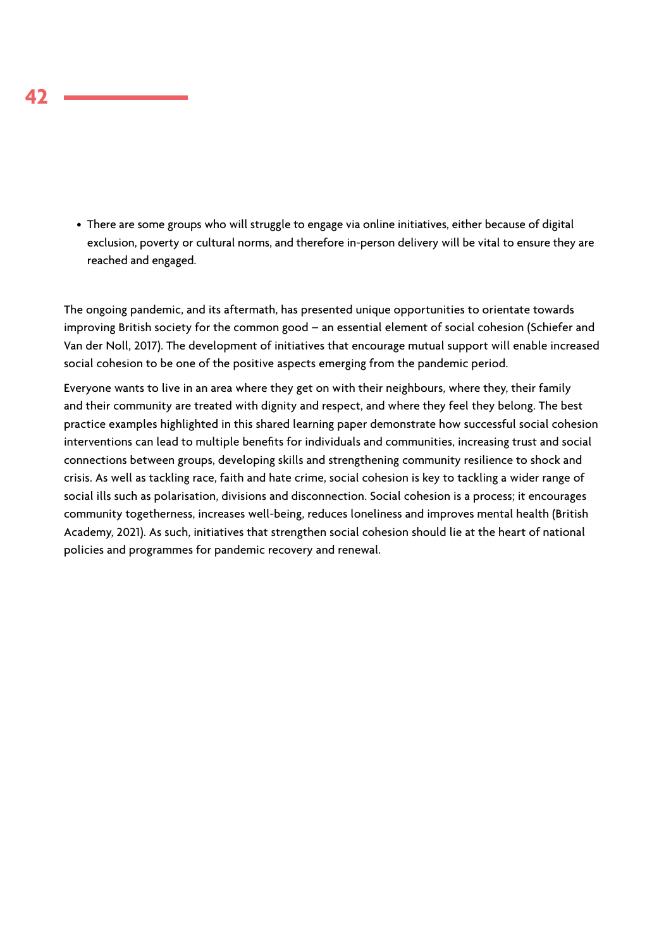• There are some groups who will struggle to engage via online initiatives, either because of digital exclusion, poverty or cultural norms, and therefore in-person delivery will be vital to ensure they are reached and engaged.

The ongoing pandemic, and its aftermath, has presented unique opportunities to orientate towards improving British society for the common good – an essential element of social cohesion (Schiefer and Van der Noll, 2017). The development of initiatives that encourage mutual support will enable increased social cohesion to be one of the positive aspects emerging from the pandemic period.

Everyone wants to live in an area where they get on with their neighbours, where they, their family and their community are treated with dignity and respect, and where they feel they belong. The best practice examples highlighted in this shared learning paper demonstrate how successful social cohesion interventions can lead to multiple benefits for individuals and communities, increasing trust and social connections between groups, developing skills and strengthening community resilience to shock and crisis. As well as tackling race, faith and hate crime, social cohesion is key to tackling a wider range of social ills such as polarisation, divisions and disconnection. Social cohesion is a process; it encourages community togetherness, increases well-being, reduces loneliness and improves mental health (British Academy, 2021). As such, initiatives that strengthen social cohesion should lie at the heart of national policies and programmes for pandemic recovery and renewal.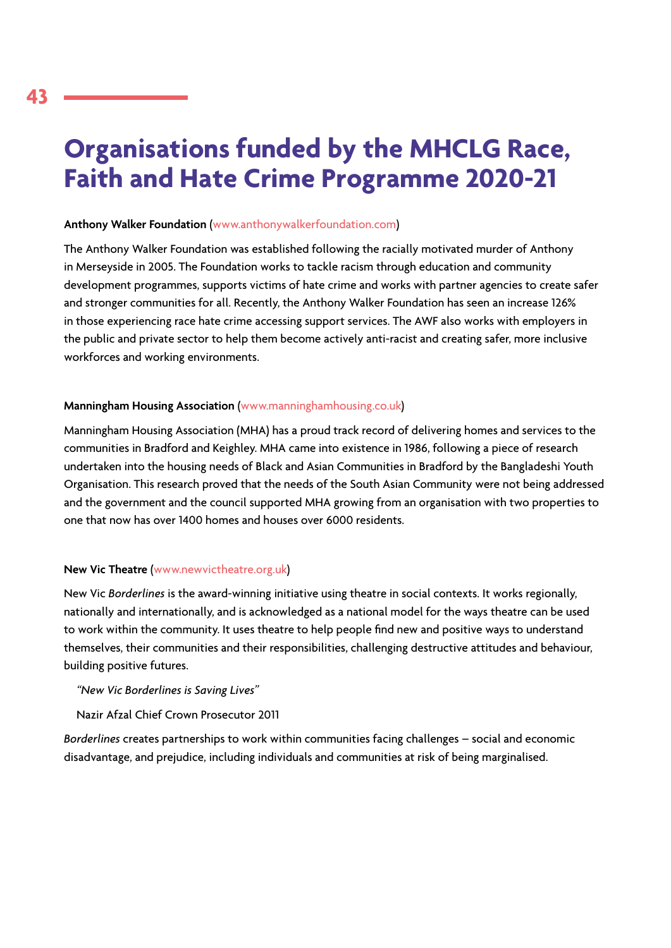# **Organisations funded by the MHCLG Race, Faith and Hate Crime Programme 2020-21**

### **Anthony Walker Foundation** ([www.anthonywalkerfoundation.com\)](http://www.anthonywalkerfoundation.com)

The Anthony Walker Foundation was established following the racially motivated murder of Anthony in Merseyside in 2005. The Foundation works to tackle racism through education and community development programmes, supports victims of hate crime and works with partner agencies to create safer and stronger communities for all. Recently, the Anthony Walker Foundation has seen an increase 126% in those experiencing race hate crime accessing support services. The AWF also works with employers in the public and private sector to help them become actively anti-racist and creating safer, more inclusive workforces and working environments.

### **Manningham Housing Association** ([www.manninghamhousing.co.uk\)](http://www.manninghamhousing.co.uk)

Manningham Housing Association (MHA) has a proud track record of delivering homes and services to the communities in Bradford and Keighley. MHA came into existence in 1986, following a piece of research undertaken into the housing needs of Black and Asian Communities in Bradford by the Bangladeshi Youth Organisation. This research proved that the needs of the South Asian Community were not being addressed and the government and the council supported MHA growing from an organisation with two properties to one that now has over 1400 homes and houses over 6000 residents.

### **New Vic Theatre** [\(www.newvictheatre.org.uk\)](http://www.newvictheatre.org.uk)

New Vic *Borderlines* is the award-winning initiative using theatre in social contexts. It works regionally, nationally and internationally, and is acknowledged as a national model for the ways theatre can be used to work within the community. It uses theatre to help people find new and positive ways to understand themselves, their communities and their responsibilities, challenging destructive attitudes and behaviour, building positive futures.

*"New Vic Borderlines is Saving Lives"*

Nazir Afzal Chief Crown Prosecutor 2011

*Borderlines* creates partnerships to work within communities facing challenges – social and economic disadvantage, and prejudice, including individuals and communities at risk of being marginalised.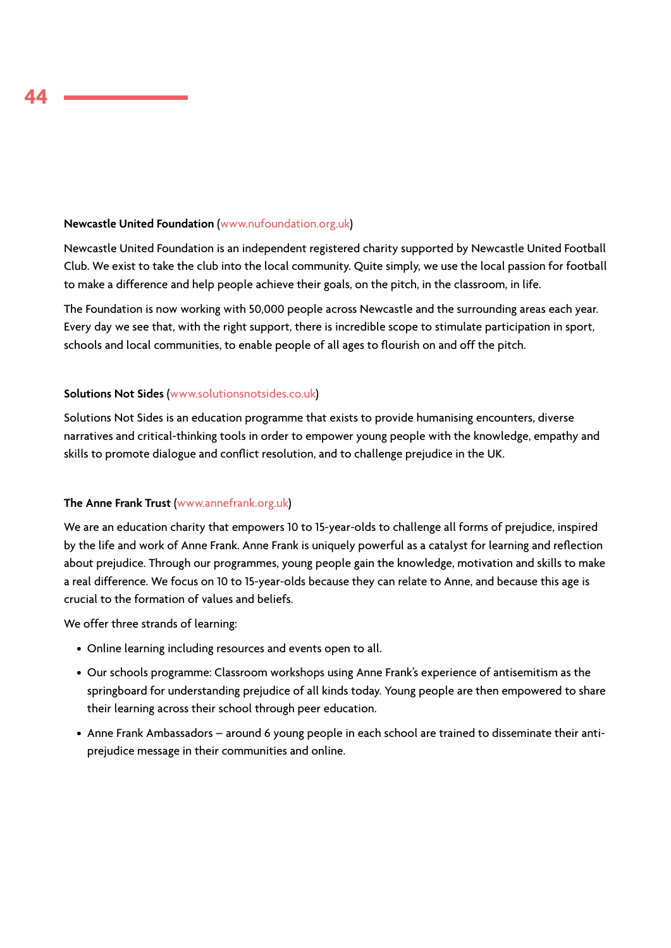### **Newcastle United Foundation** [\(www.nufoundation.org.uk](http://www.nufoundation.org.uk))

Newcastle United Foundation is an independent registered charity supported by Newcastle United Football Club. We exist to take the club into the local community. Quite simply, we use the local passion for football to make a difference and help people achieve their goals, on the pitch, in the classroom, in life.

The Foundation is now working with 50,000 people across Newcastle and the surrounding areas each year. Every day we see that, with the right support, there is incredible scope to stimulate participation in sport, schools and local communities, to enable people of all ages to flourish on and off the pitch.

### **Solutions Not Sides** ([www.solutionsnotsides.co.uk](http://www.solutionsnotsides.co.uk))

Solutions Not Sides is an education programme that exists to provide humanising encounters, diverse narratives and critical-thinking tools in order to empower young people with the knowledge, empathy and skills to promote dialogue and conflict resolution, and to challenge prejudice in the UK.

### **The Anne Frank Trust** [\(www.annefrank.org.uk\)](http://www.annefrank.org.uk)

We are an education charity that empowers 10 to 15-year-olds to challenge all forms of prejudice, inspired by the life and work of Anne Frank. Anne Frank is uniquely powerful as a catalyst for learning and reflection about prejudice. Through our programmes, young people gain the knowledge, motivation and skills to make a real difference. We focus on 10 to 15-year-olds because they can relate to Anne, and because this age is crucial to the formation of values and beliefs.

We offer three strands of learning:

- Online learning including resources and events open to all.
- Our schools programme: Classroom workshops using Anne Frank's experience of antisemitism as the springboard for understanding prejudice of all kinds today. Young people are then empowered to share their learning across their school through peer education.
- Anne Frank Ambassadors around 6 young people in each school are trained to disseminate their antiprejudice message in their communities and online.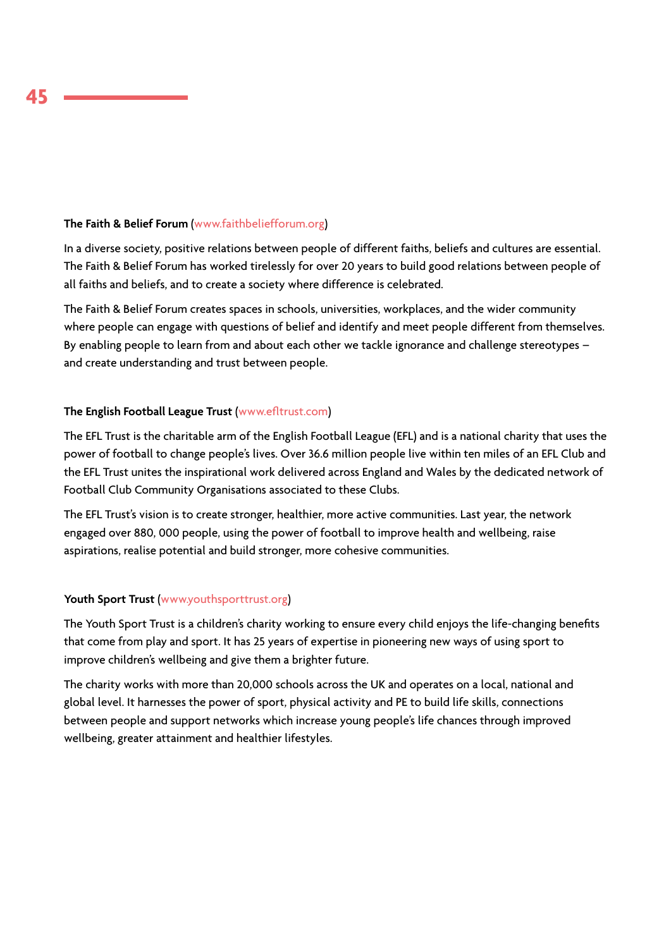### **The Faith & Belief Forum** [\(www.faithbeliefforum.org\)](http://www.faithbeliefforum.org)

In a diverse society, positive relations between people of different faiths, beliefs and cultures are essential. The Faith & Belief Forum has worked tirelessly for over 20 years to build good relations between people of all faiths and beliefs, and to create a society where difference is celebrated.

The Faith & Belief Forum creates spaces in schools, universities, workplaces, and the wider community where people can engage with questions of belief and identify and meet people different from themselves. By enabling people to learn from and about each other we tackle ignorance and challenge stereotypes – and create understanding and trust between people.

### **The English Football League Trust** [\(www.efltrust.com](http://www.efltrust.com))

The EFL Trust is the charitable arm of the English Football League (EFL) and is a national charity that uses the power of football to change people's lives. Over 36.6 million people live within ten miles of an EFL Club and the EFL Trust unites the inspirational work delivered across England and Wales by the dedicated network of Football Club Community Organisations associated to these Clubs.

The EFL Trust's vision is to create stronger, healthier, more active communities. Last year, the network engaged over 880, 000 people, using the power of football to improve health and wellbeing, raise aspirations, realise potential and build stronger, more cohesive communities.

### **Youth Sport Trust** ([www.youthsporttrust.org](http://www.youthsporttrust.org))

The Youth Sport Trust is a children's charity working to ensure every child enjoys the life-changing benefits that come from play and sport. It has 25 years of expertise in pioneering new ways of using sport to improve children's wellbeing and give them a brighter future.

The charity works with more than 20,000 schools across the UK and operates on a local, national and global level. It harnesses the power of sport, physical activity and PE to build life skills, connections between people and support networks which increase young people's life chances through improved wellbeing, greater attainment and healthier lifestyles.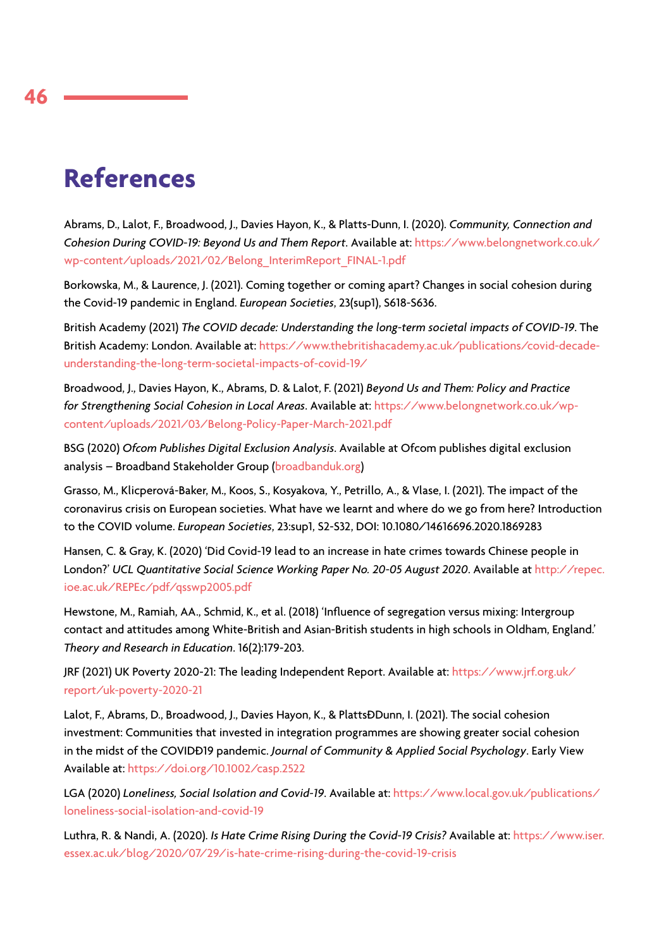# **References**

Abrams, D., Lalot, F., Broadwood, J., Davies Hayon, K., & Platts-Dunn, I. (2020). *Community, Connection and Cohesion During COVID-19: Beyond Us and Them Report*. Available at: https://www.belongnetwork.co.uk/ wp-content/uploads/2021/02/Belong\_InterimReport\_FINAL-1.pdf

Borkowska, M., & Laurence, J. (2021). Coming together or coming apart? Changes in social cohesion during the Covid-19 pandemic in England. *European Societies*, 23(sup1), S618-S636.

British Academy (2021) *The COVID decade: Understanding the long-term societal impacts of COVID-19*. The British Academy: London. Available at: https://www.thebritishacademy.ac.uk/publications/covid-decadeunderstanding-the-long-term-societal-impacts-of-covid-19/

Broadwood, J., Davies Hayon, K., Abrams, D. & Lalot, F. (2021) *Beyond Us and Them: Policy and Practice for Strengthening Social Cohesion in Local Areas*. Available at: https://www.belongnetwork.co.uk/wpcontent/uploads/2021/03/Belong-Policy-Paper-March-2021.pdf

BSG (2020) *Ofcom Publishes Digital Exclusion Analysis*. Available at Ofcom publishes digital exclusion analysis – Broadband Stakeholder Group (broadbanduk.org)

Grasso, M., Klicperová-Baker, M., Koos, S., Kosyakova, Y., Petrillo, A., & Vlase, I. (2021). The impact of the coronavirus crisis on European societies. What have we learnt and where do we go from here? Introduction to the COVID volume. *European Societies*, 23:sup1, S2-S32, DOI: 10.1080/14616696.2020.1869283

Hansen, C. & Gray, K. (2020) 'Did Covid-19 lead to an increase in hate crimes towards Chinese people in London?' *UCL Quantitative Social Science Working Paper No. 20-05 August 2020*. Available at http://repec. ioe.ac.uk/REPEc/pdf/qsswp2005.pdf

Hewstone, M., Ramiah, AA., Schmid, K., et al. (2018) 'Influence of segregation versus mixing: Intergroup contact and attitudes among White-British and Asian-British students in high schools in Oldham, England.' *Theory and Research in Education*. 16(2):179-203.

JRF (2021) UK Poverty 2020-21: The leading Independent Report. Available at: https://www.jrf.org.uk/ report/uk-poverty-2020-21

Lalot, F., Abrams, D., Broadwood, J., Davies Hayon, K., & Platts*ĐDunn, I. (2021). The social cohesion* investment: Communities that invested in integration programmes are showing greater social cohesion in the midst of the COVID<sub>D</sub>19 pandemic. *Journal of Community & Applied Social Psychology*. Early View Available at: https://doi.org/10.1002/casp.2522

LGA (2020) *Loneliness, Social Isolation and Covid-19*. Available at: https://www.local.gov.uk/publications/ loneliness-social-isolation-and-covid-19

Luthra, R. & Nandi, A. (2020). *Is Hate Crime Rising During the Covid-19 Crisis?* Available at: https://www.iser. essex.ac.uk/blog/2020/07/29/is-hate-crime-rising-during-the-covid-19-crisis